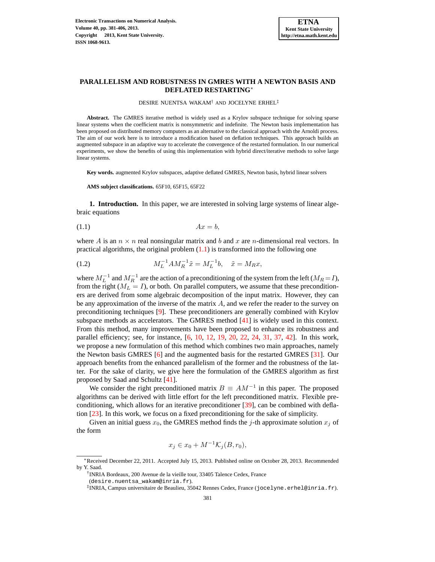# **PARALLELISM AND ROBUSTNESS IN GMRES WITH A NEWTON BASIS AND DEFLATED RESTARTING**<sup>∗</sup>

<span id="page-0-2"></span>DESIRE NUENTSA WAKAM† AND JOCELYNE ERHEL‡

**Abstract.** The GMRES iterative method is widely used as a Krylov subspace technique for solving sparse linear systems when the coefficient matrix is nonsymmetric and indefinite. The Newton basis implementation has been proposed on distributed memory computers as an alternative to the classical approach with the Arnoldi process. The aim of our work here is to introduce a modification based on deflation techniques. This approach builds an augmented subspace in an adaptive way to accelerate the convergence of the restarted formulation. In our numerical experiments, we show the benefits of using this implementation with hybrid direct/iterative methods to solve large linear systems.

**Key words.** augmented Krylov subspaces, adaptive deflated GMRES, Newton basis, hybrid linear solvers

<span id="page-0-0"></span>**AMS subject classifications.** 65F10, 65F15, 65F22

<span id="page-0-1"></span>**1. Introduction.** In this paper, we are interested in solving large systems of linear algebraic equations

$$
(1.1)\t\t\t Ax = b,
$$

where A is an  $n \times n$  real nonsingular matrix and b and x are n-dimensional real vectors. In practical algorithms, the original problem  $(1.1)$  is transformed into the following one

(1.2) 
$$
M_L^{-1}AM_R^{-1}\tilde{x} = M_L^{-1}b, \quad \tilde{x} = M_Rx,
$$

where  $M_L^{-1}$  and  $M_R^{-1}$  are the action of a preconditioning of the system from the left ( $M_R = I$ ), from the right ( $M_L = I$ ), or both. On parallel computers, we assume that these preconditioners are derived from some algebraic decomposition of the input matrix. However, they can be any approximation of the inverse of the matrix  $A$ , and we refer the reader to the survey on preconditioning techniques [\[9\]](#page-24-0). These preconditioners are generally combined with Krylov subspace methods as accelerators. The GMRES method [\[41\]](#page-25-0) is widely used in this context. From this method, many improvements have been proposed to enhance its robustness and parallel efficiency; see, for instance, [\[6,](#page-24-1) [10,](#page-24-2) [12,](#page-24-3) [19,](#page-24-4) [20,](#page-24-5) [22,](#page-24-6) [24,](#page-25-1) [31,](#page-25-2) [37,](#page-25-3) [42\]](#page-25-4). In this work, we propose a new formulation of this method which combines two main approaches, namely the Newton basis GMRES [\[6\]](#page-24-1) and the augmented basis for the restarted GMRES [\[31\]](#page-25-2). Our approach benefits from the enhanced parallelism of the former and the robustness of the latter. For the sake of clarity, we give here the formulation of the GMRES algorithm as first proposed by Saad and Schultz [\[41\]](#page-25-0).

We consider the right preconditioned matrix  $B \equiv AM^{-1}$  in this paper. The proposed algorithms can be derived with little effort for the left preconditioned matrix. Flexible preconditioning, which allows for an iterative preconditioner [\[39\]](#page-25-5), can be combined with deflation [\[23\]](#page-24-7). In this work, we focus on a fixed preconditioning for the sake of simplicity.

Given an initial guess  $x_0$ , the GMRES method finds the j-th approximate solution  $x_j$  of the form

$$
x_j \in x_0 + M^{-1} \mathcal{K}_j(B, r_0),
$$

<sup>∗</sup>Received December 22, 2011. Accepted July 15, 2013. Published online on October 28, 2013. Recommended by Y. Saad.

<sup>†</sup> INRIA Bordeaux, 200 Avenue de la vieille tour, 33405 Talence Cedex, France

<sup>(</sup>desire.nuentsa\_wakam@inria.fr).

<sup>‡</sup> INRIA, Campus universitaire de Beaulieu, 35042 Rennes Cedex, France (jocelyne.erhel@inria.fr).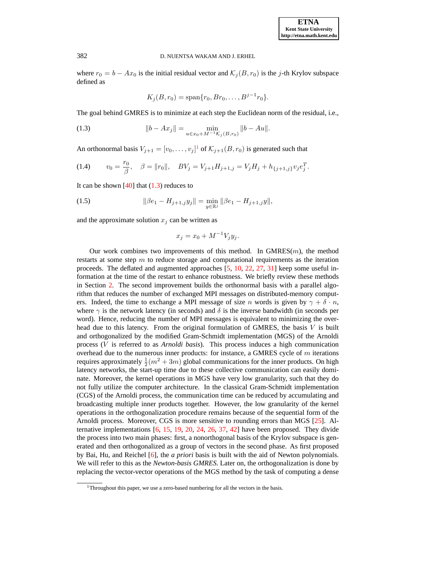where  $r_0 = b - Ax_0$  is the initial residual vector and  $\mathcal{K}_j(B, r_0)$  is the j-th Krylov subspace defined as

<span id="page-1-0"></span>
$$
K_j(B,r_0) = \text{span}\{r_0, Br_0, \dots, B^{j-1}r_0\}.
$$

The goal behind GMRES is to minimize at each step the Euclidean norm of the residual, i.e.,

(1.3) 
$$
||b - Ax_j|| = \min_{u \in x_0 + M^{-1} \mathcal{K}_j(B, r_0)} ||b - Au||.
$$

An orthonormal basis  $V_{j+1} = [v_0, \ldots, v_j]^1$  of  $\mathcal{K}_{j+1}(B, r_0)$  is generated such that

(1.4) 
$$
v_0 = \frac{r_0}{\beta}, \quad \beta = ||r_0||, \quad BV_j = V_{j+1}H_{j+1,j} = V_jH_j + h_{\{j+1,j\}}v_j e_j^T.
$$

It can be shown  $[40]$  that  $(1.3)$  reduces to

(1.5) 
$$
\|\beta e_1 - H_{j+1,j}y_j\| = \min_{y \in \mathbb{R}^j} \|\beta e_1 - H_{j+1,j}y\|,
$$

and the approximate solution  $x_i$  can be written as

<span id="page-1-2"></span><span id="page-1-1"></span>
$$
x_j = x_0 + M^{-1} V_j y_j.
$$

Our work combines two improvements of this method. In  $GMRES(m)$ , the method restarts at some step  $m$  to reduce storage and computational requirements as the iteration proceeds. The deflated and augmented approaches [\[5,](#page-24-8) [10,](#page-24-2) [22,](#page-24-6) [27,](#page-25-7) [31\]](#page-25-2) keep some useful information at the time of the restart to enhance robustness. We briefly review these methods in Section [2.](#page-2-0) The second improvement builds the orthonormal basis with a parallel algorithm that reduces the number of exchanged MPI messages on distributed-memory computers. Indeed, the time to exchange a MPI message of size n words is given by  $\gamma + \delta \cdot n$ , where  $\gamma$  is the network latency (in seconds) and  $\delta$  is the inverse bandwidth (in seconds per word). Hence, reducing the number of MPI messages is equivalent to minimizing the overhead due to this latency. From the original formulation of GMRES, the basis  $V$  is built and orthogonalized by the modified Gram-Schmidt implementation (MGS) of the Arnoldi process (V is referred to as *Arnoldi basis*). This process induces a high communication overhead due to the numerous inner products: for instance, a GMRES cycle of  $m$  iterations requires approximately  $\frac{1}{2}(m^2+3m)$  global communications for the inner products. On high latency networks, the start-up time due to these collective communication can easily dominate. Moreover, the kernel operations in MGS have very low granularity, such that they do not fully utilize the computer architecture. In the classical Gram-Schmidt implementation (CGS) of the Arnoldi process, the communication time can be reduced by accumulating and broadcasting multiple inner products together. However, the low granularity of the kernel operations in the orthogonalization procedure remains because of the sequential form of the Arnoldi process. Moreover, CGS is more sensitive to rounding errors than MGS [\[25\]](#page-25-8). Alternative implementations  $[6, 15, 19, 20, 24, 26, 37, 42]$  $[6, 15, 19, 20, 24, 26, 37, 42]$  $[6, 15, 19, 20, 24, 26, 37, 42]$  $[6, 15, 19, 20, 24, 26, 37, 42]$  $[6, 15, 19, 20, 24, 26, 37, 42]$  $[6, 15, 19, 20, 24, 26, 37, 42]$  $[6, 15, 19, 20, 24, 26, 37, 42]$  $[6, 15, 19, 20, 24, 26, 37, 42]$  $[6, 15, 19, 20, 24, 26, 37, 42]$  $[6, 15, 19, 20, 24, 26, 37, 42]$  $[6, 15, 19, 20, 24, 26, 37, 42]$  $[6, 15, 19, 20, 24, 26, 37, 42]$  $[6, 15, 19, 20, 24, 26, 37, 42]$  $[6, 15, 19, 20, 24, 26, 37, 42]$  $[6, 15, 19, 20, 24, 26, 37, 42]$  have been proposed. They divide the process into two main phases: first, a nonorthogonal basis of the Krylov subspace is generated and then orthogonalized as a group of vectors in the second phase. As first proposed by Bai, Hu, and Reichel [\[6\]](#page-24-1), the *a priori* basis is built with the aid of Newton polynomials. We will refer to this as the *Newton-basis GMRES*. Later on, the orthogonalization is done by replacing the vector-vector operations of the MGS method by the task of computing a dense

<sup>&</sup>lt;sup>1</sup>Throughout this paper, we use a zero-based numbering for all the vectors in the basis.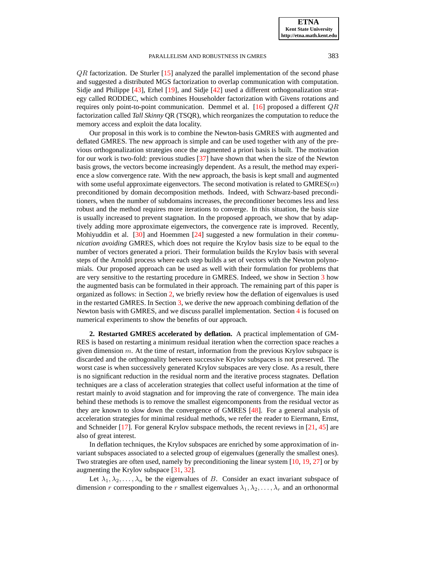$QR$  factorization. De Sturler  $[15]$  analyzed the parallel implementation of the second phase and suggested a distributed MGS factorization to overlap communication with computation. Sidje and Philippe [\[43\]](#page-25-10), Erhel [\[19\]](#page-24-4), and Sidje [\[42\]](#page-25-4) used a different orthogonalization strategy called RODDEC, which combines Householder factorization with Givens rotations and requires only point-to-point communication. Demmel et al. [\[16\]](#page-24-10) proposed a different  $QR$ factorization called *Tall Skinny* QR (TSQR), which reorganizes the computation to reduce the memory access and exploit the data locality.

Our proposal in this work is to combine the Newton-basis GMRES with augmented and deflated GMRES. The new approach is simple and can be used together with any of the previous orthogonalization strategies once the augmented a priori basis is built. The motivation for our work is two-fold: previous studies [\[37\]](#page-25-3) have shown that when the size of the Newton basis grows, the vectors become increasingly dependent. As a result, the method may experience a slow convergence rate. With the new approach, the basis is kept small and augmented with some useful approximate eigenvectors. The second motivation is related to  $GMRES(m)$ preconditioned by domain decomposition methods. Indeed, with Schwarz-based preconditioners, when the number of subdomains increases, the preconditioner becomes less and less robust and the method requires more iterations to converge. In this situation, the basis size is usually increased to prevent stagnation. In the proposed approach, we show that by adaptively adding more approximate eigenvectors, the convergence rate is improved. Recently, Mohiyuddin et al. [\[30\]](#page-25-11) and Hoemmen [\[24\]](#page-25-1) suggested a new formulation in their *communication avoiding* GMRES, which does not require the Krylov basis size to be equal to the number of vectors generated a priori. Their formulation builds the Krylov basis with several steps of the Arnoldi process where each step builds a set of vectors with the Newton polynomials. Our proposed approach can be used as well with their formulation for problems that are very sensitive to the restarting procedure in GMRES. Indeed, we show in Section [3](#page-3-0) how the augmented basis can be formulated in their approach. The remaining part of this paper is organized as follows: in Section [2,](#page-2-0) we briefly review how the deflation of eigenvalues is used in the restarted GMRES. In Section [3,](#page-3-0) we derive the new approach combining deflation of the Newton basis with GMRES, and we discuss parallel implementation. Section [4](#page-12-0) is focused on numerical experiments to show the benefits of our approach.

<span id="page-2-0"></span>**2. Restarted GMRES accelerated by deflation.** A practical implementation of GM-RES is based on restarting a minimum residual iteration when the correction space reaches a given dimension  $m$ . At the time of restart, information from the previous Krylov subspace is discarded and the orthogonality between successive Krylov subspaces is not preserved. The worst case is when successively generated Krylov subspaces are very close. As a result, there is no significant reduction in the residual norm and the iterative process stagnates. Deflation techniques are a class of acceleration strategies that collect useful information at the time of restart mainly to avoid stagnation and for improving the rate of convergence. The main idea behind these methods is to remove the smallest eigencomponents from the residual vector as they are known to slow down the convergence of GMRES [\[48\]](#page-25-12). For a general analysis of acceleration strategies for minimal residual methods, we refer the reader to Eiermann, Ernst, and Schneider [\[17\]](#page-24-11). For general Krylov subspace methods, the recent reviews in [\[21,](#page-24-12) [45\]](#page-25-13) are also of great interest.

In deflation techniques, the Krylov subspaces are enriched by some approximation of invariant subspaces associated to a selected group of eigenvalues (generally the smallest ones). Two strategies are often used, namely by preconditioning the linear system [\[10,](#page-24-2) [19,](#page-24-4) [27\]](#page-25-7) or by augmenting the Krylov subspace [\[31,](#page-25-2) [32\]](#page-25-14).

Let  $\lambda_1, \lambda_2, \ldots, \lambda_n$  be the eigenvalues of B. Consider an exact invariant subspace of dimension r corresponding to the r smallest eigenvalues  $\lambda_1, \lambda_2, \ldots, \lambda_r$  and an orthonormal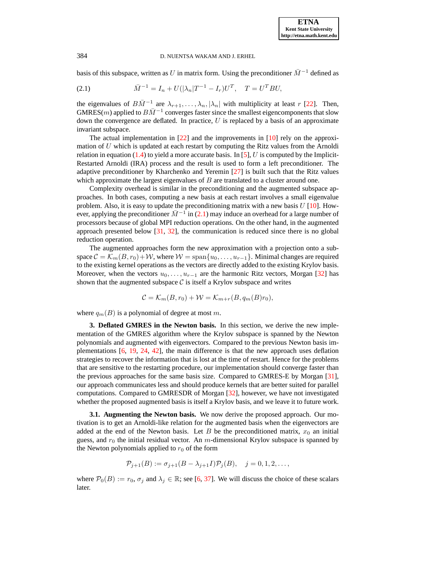basis of this subspace, written as U in matrix form. Using the preconditioner  $\bar{M}^{-1}$  defined as

<span id="page-3-1"></span>(2.1) 
$$
\bar{M}^{-1} = I_n + U(|\lambda_n|T^{-1} - I_r)U^T, \quad T = U^T B U,
$$

the eigenvalues of  $B\overline{M}^{-1}$  are  $\lambda_{r+1}, \ldots, \lambda_n, |\lambda_n|$  with multiplicity at least r [\[22\]](#page-24-6). Then, GMRES(m) applied to  $B\overline{M}^{-1}$  converges faster since the smallest eigencomponents that slow down the convergence are deflated. In practice,  $U$  is replaced by a basis of an approximate invariant subspace.

The actual implementation in  $[22]$  and the improvements in  $[10]$  rely on the approximation of  $U$  which is updated at each restart by computing the Ritz values from the Arnoldi relation in equation [\(1.4\)](#page-1-1) to yield a more accurate basis. In [\[5\]](#page-24-8), U is computed by the Implicit-Restarted Arnoldi (IRA) process and the result is used to form a left preconditioner. The adaptive preconditioner by Kharchenko and Yeremin [\[27\]](#page-25-7) is built such that the Ritz values which approximate the largest eigenvalues of  $B$  are translated to a cluster around one.

Complexity overhead is similar in the preconditioning and the augmented subspace approaches. In both cases, computing a new basis at each restart involves a small eigenvalue problem. Also, it is easy to update the preconditioning matrix with a new basis  $U$  [\[10\]](#page-24-2). However, applying the preconditioner  $\bar{M}^{-1}$  in [\(2.1\)](#page-3-1) may induce an overhead for a large number of processors because of global MPI reduction operations. On the other hand, in the augmented approach presented below [\[31,](#page-25-2) [32\]](#page-25-14), the communication is reduced since there is no global reduction operation.

The augmented approaches form the new approximation with a projection onto a subspace  $C = \mathcal{K}_m(B, r_0) + \mathcal{W}$ , where  $\mathcal{W} = \text{span}\{u_0, \dots, u_{r-1}\}$ . Minimal changes are required to the existing kernel operations as the vectors are directly added to the existing Krylov basis. Moreover, when the vectors  $u_0, \ldots, u_{r-1}$  are the harmonic Ritz vectors, Morgan [\[32\]](#page-25-14) has shown that the augmented subspace  $\mathcal C$  is itself a Krylov subspace and writes

$$
\mathcal{C} = \mathcal{K}_m(B, r_0) + \mathcal{W} = \mathcal{K}_{m+r}(B, q_m(B)r_0),
$$

<span id="page-3-0"></span>where  $q_m(B)$  is a polynomial of degree at most m.

**3. Deflated GMRES in the Newton basis.** In this section, we derive the new implementation of the GMRES algorithm where the Krylov subspace is spanned by the Newton polynomials and augmented with eigenvectors. Compared to the previous Newton basis implementations [\[6,](#page-24-1) [19,](#page-24-4) [24,](#page-25-1) [42\]](#page-25-4), the main difference is that the new approach uses deflation strategies to recover the information that is lost at the time of restart. Hence for the problems that are sensitive to the restarting procedure, our implementation should converge faster than the previous approaches for the same basis size. Compared to GMRES-E by Morgan [\[31\]](#page-25-2), our approach communicates less and should produce kernels that are better suited for parallel computations. Compared to GMRESDR of Morgan [\[32\]](#page-25-14), however, we have not investigated whether the proposed augmented basis is itself a Krylov basis, and we leave it to future work.

**3.1. Augmenting the Newton basis.** We now derive the proposed approach. Our motivation is to get an Arnoldi-like relation for the augmented basis when the eigenvectors are added at the end of the Newton basis. Let B be the preconditioned matrix,  $x_0$  an initial guess, and  $r_0$  the initial residual vector. An m-dimensional Krylov subspace is spanned by the Newton polynomials applied to  $r_0$  of the form

$$
\mathcal{P}_{j+1}(B) := \sigma_{j+1}(B - \lambda_{j+1}I)\mathcal{P}_j(B), \quad j = 0, 1, 2, \dots,
$$

where  $\mathcal{P}_0(B) := r_0$ ,  $\sigma_j$  and  $\lambda_j \in \mathbb{R}$ ; see [\[6,](#page-24-1) [37\]](#page-25-3). We will discuss the choice of these scalars later.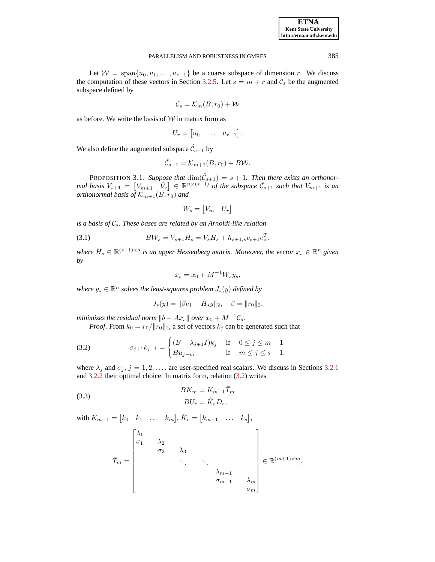**ETNA Kent State University http://etna.math.kent.edu**

#### PARALLELISM AND ROBUSTNESS IN GMRES 385

Let  $W = \text{span}\{u_0, u_1, \ldots, u_{r-1}\}\$  be a coarse subspace of dimension r. We discuss the computation of these vectors in Section [3.2.5.](#page-11-0) Let  $s = m + r$  and  $C_s$  be the augmented subspace defined by

$$
\mathcal{C}_s = \mathcal{K}_m(B, r_0) + \mathcal{W}
$$

as before. We write the basis of  $W$  in matrix form as

$$
U_r = \begin{bmatrix} u_0 & \dots & u_{r-1} \end{bmatrix}.
$$

We also define the augmented subspace  $\hat{\mathcal{C}}_{s+1}$  by

$$
\hat{\mathcal{C}}_{s+1} = \mathcal{K}_{m+1}(B, r_0) + B\mathcal{W}.
$$

PROPOSITION 3.1. Suppose that  $\dim(\hat{\mathcal{C}}_{s+1}) = s + 1$ . Then there exists an orthonormal basis  $V_{s+1} = \begin{bmatrix} V_{m+1} & V_r \end{bmatrix} \in \mathbb{R}^{n \times (s+1)}$  of the subspace  $\hat{\mathcal{C}}_{s+1}$  such that  $V_{m+1}$  is an *orthonormal basis of*  $\mathcal{K}_{m+1}(B,r_0)$  and

<span id="page-4-2"></span>
$$
W_s = \begin{bmatrix} V_m & U_r \end{bmatrix}
$$

*is a basis of*  $C_s$ *. These bases are related by an Arnoldi-like relation* 

(3.1) 
$$
BW_s = V_{s+1}\bar{H}_s = V_sH_s + h_{s+1,s}v_{s+1}e_s^T,
$$

where  $\bar{H}_s \in \mathbb{R}^{(s+1)\times s}$  is an upper Hessenberg matrix. Moreover, the vector  $x_s \in \mathbb{R}^n$  given *by*

<span id="page-4-1"></span><span id="page-4-0"></span>
$$
x_s = x_0 + M^{-1}W_s y_s,
$$

where  $y_s \in \mathbb{R}^n$  solves the least-squares problem  $J_s(y)$  defined by

$$
J_s(y) = ||\beta e_1 - \bar{H}_s y||_2, \quad \beta = ||r_0||_2,
$$

*minimizes the residual norm*  $||b - Ax_s||$  *over*  $x_0 + M^{-1}C_s$ .

*Proof.* From  $k_0 = r_0 / ||r_0||_2$ , a set of vectors  $k_j$  can be generated such that

(3.2) 
$$
\sigma_{j+1}k_{j+1} = \begin{cases} (B - \lambda_{j+1}I)k_j & \text{if } 0 \le j \le m-1 \\ Bu_{j-m} & \text{if } m \le j \le s-1, \end{cases}
$$

where  $\lambda_j$  and  $\sigma_j$ ,  $j = 1, 2, \ldots$ , are user-specified real scalars. We discuss in Sections [3.2.1](#page-9-0) and [3.2.2](#page-9-1) their optimal choice. In matrix form, relation [\(3.2\)](#page-4-0) writes

(3.3) 
$$
BK_m = K_{m+1}\bar{T}_m
$$

$$
BU_r = \hat{K}_r D_r,
$$

with  $K_{m+1} = \begin{bmatrix} k_0 & k_1 & \dots & k_m \end{bmatrix}$ ,  $\hat{K}_r = \begin{bmatrix} k_{m+1} & \dots & k_s \end{bmatrix}$ ,

$$
\bar{T}_m = \begin{bmatrix} \lambda_1 & & & & & \\ \sigma_1 & \lambda_2 & & & & \\ & \sigma_2 & \lambda_3 & & & \\ & & \ddots & \ddots & & \\ & & & & \lambda_{m-1} & \\ & & & & & \sigma_{m-1} & \lambda_m \\ & & & & & & \sigma_m \end{bmatrix} \in \mathbb{R}^{(m+1)\times m},
$$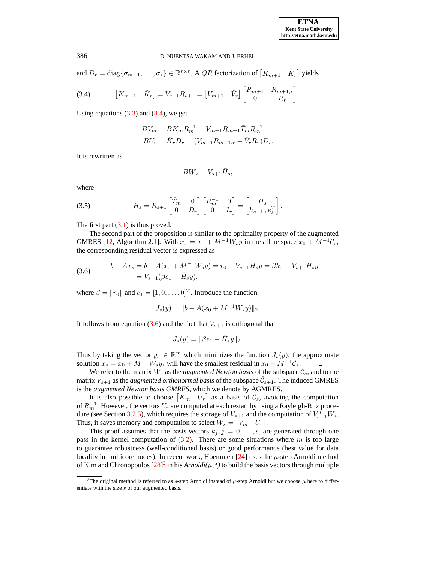and  $D_r = \text{diag}\{\sigma_{m+1}, \dots, \sigma_s\} \in \mathbb{R}^{r \times r}$ . A QR factorization of  $[K_{m+1} \quad \hat{K}_r]$  yields

(3.4) 
$$
\begin{bmatrix} K_{m+1} & \hat{K}_r \end{bmatrix} = V_{s+1} R_{s+1} = \begin{bmatrix} V_{m+1} & \hat{V}_r \end{bmatrix} \begin{bmatrix} R_{m+1} & R_{m+1,r} \\ 0 & R_r \end{bmatrix}.
$$

Using equations  $(3.3)$  and  $(3.4)$ , we get

$$
BV_m = BK_m R_m^{-1} = V_{m+1} R_{m+1} \bar{T}_m R_m^{-1},
$$
  

$$
BU_r = \hat{K}_r D_r = (V_{m+1} R_{m+1,r} + \hat{V}_r R_r) D_r.
$$

It is rewritten as

<span id="page-5-0"></span>
$$
BW_s=V_{s+1}\bar{H}_s,
$$

<span id="page-5-2"></span>where

(3.5) 
$$
\bar{H}_s = R_{s+1} \begin{bmatrix} \bar{T}_m & 0 \\ 0 & D_r \end{bmatrix} \begin{bmatrix} R_m^{-1} & 0 \\ 0 & I_r \end{bmatrix} = \begin{bmatrix} H_s \\ h_{s+1,s} e_s^T \end{bmatrix}.
$$

The first part  $(3.1)$  is thus proved.

The second part of the proposition is similar to the optimality property of the augmented GMRES [\[12,](#page-24-3) Algorithm 2.1]. With  $x_s = x_0 + M^{-1}W_s y$  in the affine space  $x_0 + M^{-1}C_s$ , the corresponding residual vector is expressed as

(3.6) 
$$
b - Ax_s = b - A(x_0 + M^{-1}W_s y) = r_0 - V_{s+1}\bar{H}_s y = \beta k_0 - V_{s+1}\bar{H}_s y
$$

$$
= V_{s+1}(\beta e_1 - \bar{H}_s y),
$$

where  $\beta = ||r_0||$  and  $e_1 = [1, 0, \dots, 0]^T$ . Introduce the function

<span id="page-5-1"></span>
$$
J_s(y) = ||b - A(x_0 + M^{-1}W_s y)||_2.
$$

It follows from equation [\(3.6\)](#page-5-1) and the fact that  $V_{s+1}$  is orthogonal that

$$
J_s(y) = ||\beta e_1 - \bar{H}_s y||_2.
$$

Thus by taking the vector  $y_s \in \mathbb{R}^m$  which minimizes the function  $J_s(y)$ , the approximate solution  $x_s = x_0 + M^{-1}W_s y_s$  will have the smallest residual in  $x_0 + M^{-1}C_s$ . О

We refer to the matrix  $W_s$  as the *augmented Newton basis* of the subspace  $\mathcal{C}_s$ , and to the matrix  $V_{s+1}$  as the *augmented orthonormal basis* of the subspace  $\hat{\mathcal{C}}_{s+1}$ . The induced GMRES is the *augmented Newton basis GMRES*, which we denote by AGMRES.

It is also possible to choose  $\begin{bmatrix} K_m & U_r \end{bmatrix}$  as a basis of  $\mathcal{C}_s$ , avoiding the computation of  $R_m^{-1}$ . However, the vectors  $U_r$  are computed at each restart by using a Rayleigh-Ritz proce-dure (see Section [3.2.5\)](#page-11-0), which requires the storage of  $V_{s+1}$  and the computation of  $V_{s+1}^T W_s$ . Thus, it saves memory and computation to select  $W_s = \begin{bmatrix} V_m & U_r \end{bmatrix}$ .

This proof assumes that the basis vectors  $k_j, j = 0, \ldots, s$ , are generated through one pass in the kernel computation of  $(3.2)$ . There are some situations where m is too large to guarantee robustness (well-conditioned basis) or good performance (best value for data locality in multicore nodes). In recent work, Hoemmen  $[24]$  uses the  $\mu$ -step Arnoldi method of Kim and Chronopoulos  $[28]^2$  in his  $Arnoldi(\mu, t)$  to build the basis vectors through multiple

<sup>&</sup>lt;sup>2</sup>The original method is referred to as s-step Arnoldi instead of  $\mu$ -step Arnoldi but we choose  $\mu$  here to differentiate with the size s of our augmented basis.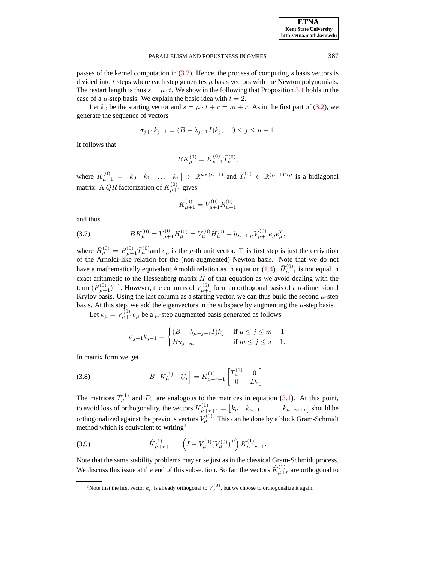passes of the kernel computation in  $(3.2)$ . Hence, the process of computing s basis vectors is divided into t steps where each step generates  $\mu$  basis vectors with the Newton polynomials. The restart length is thus  $s = \mu \cdot t$ . We show in the following that Proposition [3.1](#page-4-2) holds in the case of a  $\mu$ -step basis. We explain the basic idea with  $t = 2$ .

Let  $k_0$  be the starting vector and  $s = \mu \cdot t + r = m + r$ . As in the first part of [\(3.2\)](#page-4-0), we generate the sequence of vectors

$$
\sigma_{j+1}k_{j+1} = (B - \lambda_{j+1}I)k_j, \quad 0 \le j \le \mu - 1.
$$

It follows that

$$
BK^{(0)}_{\mu} = K^{(0)}_{\mu+1} \bar{T}^{(0)}_{\mu},
$$

where  $K_{\mu+1}^{(0)} = \begin{bmatrix} k_0 & k_1 & \dots & k_{\mu} \end{bmatrix} \in \mathbb{R}^{n \times (\mu+1)}$  and  $\overline{T}_{\mu}^{(0)} \in \mathbb{R}^{(\mu+1) \times \mu}$  is a bidiagonal matrix. A QR factorization of  $K_{\mu+1}^{(0)}$  gives

$$
K_{\mu+1}^{(0)} = V_{\mu+1}^{(0)} R_{\mu+1}^{(0)}
$$

<span id="page-6-0"></span>and thus

(3.7) 
$$
BK_{\mu}^{(0)} = V_{\mu+1}^{(0)} \bar{H}_{\mu}^{(0)} = V_{\mu}^{(0)} H_{\mu}^{(0)} + h_{\mu+1,\mu} V_{\mu+1}^{(0)} e_{\mu}^T,
$$

where  $\bar{H}^{(0)}_{\mu} = R^{(0)}_{\mu+1} \bar{T}^{(0)}_{\mu}$  and  $e_{\mu}$  is the  $\mu$ -th unit vector. This first step is just the derivation of the Arnoldi-like relation for the (non-augmented) Newton basis. Note that we do not have a mathematically equivalent Arnoldi relation as in equation [\(1.4\)](#page-1-1).  $\bar{H}^{(0)}_{\mu+1}$  is not equal in exact arithmetic to the Hessenberg matrix  $\bar{H}$  of that equation as we avoid dealing with the term  $(R^{(0)}_{\mu+1})^{-1}$ . However, the columns of  $V^{(0)}_{\mu+1}$  form an orthogonal basis of a  $\mu$ -dimensional Krylov basis. Using the last column as a starting vector, we can thus build the second  $\mu$ -step basis. At this step, we add the eigenvectors in the subspace by augmenting the  $\mu$ -step basis. Let  $k_{\mu} = V_{\mu+1}^{(0)} e_{\mu}$  be a  $\mu$ -step augmented basis generated as follows

<span id="page-6-1"></span>
$$
\sigma_{j+1}k_{j+1} = \begin{cases} (B - \lambda_{\mu-j+1}I)k_j & \text{if } \mu \le j \le m-1\\ B u_{j-m} & \text{if } m \le j \le s-1. \end{cases}
$$

In matrix form we get

(3.8) 
$$
B\begin{bmatrix}K_{\mu}^{(1)} & U_r\end{bmatrix} = K_{\mu+r+1}^{(1)} \begin{bmatrix} \bar{T}_{\mu}^{(1)} & 0 \\ 0 & D_r \end{bmatrix}.
$$

The matrices  $\bar{T}_{\mu}^{(1)}$  and  $D_r$  are analogous to the matrices in equation [\(3.1\)](#page-4-2). At this point, to avoid loss of orthogonality, the vectors  $K_{\mu+r+1}^{(1)} = \begin{bmatrix} k_{\mu} & k_{\mu+1} & \dots & k_{\mu+m+r} \end{bmatrix}$  should be orthogonalized against the previous vectors  $V^{(0)}_{\mu}$ . This can be done by a block Gram-Schmidt method which is equivalent to writing<sup>3</sup>

<span id="page-6-2"></span>(3.9) 
$$
\hat{K}_{\mu+r+1}^{(1)} = \left(I - V_{\mu}^{(0)} (V_{\mu}^{(0)})^T\right) K_{\mu+r+1}^{(1)}.
$$

Note that the same stability problems may arise just as in the classical Gram-Schmidt process. We discuss this issue at the end of this subsection. So far, the vectors  $\hat{K}_{\mu+\nu}^{(1)}$  are orthogonal to

<sup>&</sup>lt;sup>3</sup>Note that the first vector  $k_{\mu}$  is already orthogonal to  $V_{\mu}^{(0)}$ , but we choose to orthogonalize it again.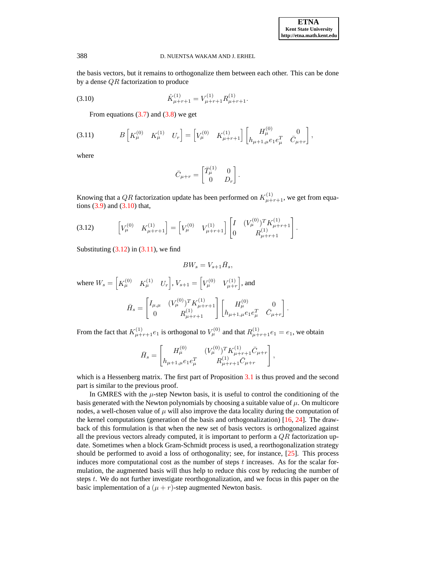the basis vectors, but it remains to orthogonalize them between each other. This can be done by a dense  $QR$  factorization to produce

(3.10) 
$$
\hat{K}_{\mu+r+1}^{(1)} = V_{\mu+r+1}^{(1)} R_{\mu+r+1}^{(1)}.
$$

From equations  $(3.7)$  and  $(3.8)$  we get

$$
(3.11) \t B\begin{bmatrix}K_{\mu}^{(0)} & K_{\mu}^{(1)} & U_{r}\end{bmatrix} = \begin{bmatrix}V_{\mu}^{(0)} & K_{\mu+r+1}^{(1)}\end{bmatrix} \begin{bmatrix}H_{\mu}^{(0)} & 0\\h_{\mu+1,\mu}e_{1}e_{\mu}^{T} & \bar{C}_{\mu+r}\end{bmatrix},
$$

where

<span id="page-7-2"></span><span id="page-7-1"></span><span id="page-7-0"></span>
$$
\bar{C}_{\mu+r} = \begin{bmatrix} \bar{T}_{\mu}^{(1)} & 0 \\ 0 & D_r \end{bmatrix}.
$$

Knowing that a QR factorization update has been performed on  $K_{\mu+r+1}^{(1)}$ , we get from equations [\(3.9\)](#page-6-2) and [\(3.10\)](#page-7-0) that,

$$
(3.12) \qquad \begin{bmatrix} V_{\mu}^{(0)} & K_{\mu+r+1}^{(1)} \end{bmatrix} = \begin{bmatrix} V_{\mu}^{(0)} & V_{\mu+r+1}^{(1)} \end{bmatrix} \begin{bmatrix} I & (V_{\mu}^{(0)})^T K_{\mu+r+1}^{(1)} \\ 0 & R_{\mu+r+1}^{(1)} \end{bmatrix}.
$$

Substituting  $(3.12)$  in  $(3.11)$ , we find

$$
BW_s=V_{s+1}\bar{H}_s,
$$

where  $W_s = \begin{bmatrix} K_{\mu}^{(0)} & K_{\mu}^{(1)} & U_r \end{bmatrix}$ ,  $V_{s+1} = \begin{bmatrix} V_{\mu}^{(0)} & V_{\mu+r}^{(1)} \end{bmatrix}$ , and  $\bar{H}_s =$  $\left[I_{\mu,\mu} \quad (V^{(0)}_{\mu})^T K^{(1)}_{\mu+r+1}\right]$  $\begin{bmatrix} (V^{(0)}_{\mu})^T K^{(1)}_{\mu+r+1} \ 0 \end{bmatrix} \begin{bmatrix} H^{(0)}_{\mu} & 0 \ h_{\mu+1,\mu} e_1 e_\mu^T & \bar{C}_\mu. \end{bmatrix}$  $h_{\mu+1,\mu}e_1e_\mu^T \quad \bar{C}_{\mu+r}$ .

From the fact that  $K_{\mu+r+1}^{(1)}e_1$  is orthogonal to  $V_{\mu}^{(0)}$  and that  $R_{\mu+r+1}^{(1)}e_1 = e_1$ , we obtain

$$
\bar{H}_s = \begin{bmatrix} H_\mu^{(0)} & (V_\mu^{(0)})^T K_{\mu+r+1}^{(1)} \bar{C}_{\mu+r} \\ h_{\mu+1,\mu} e_1 e_\mu^T & R_{\mu+r+1}^{(1)} \bar{C}_{\mu+r} \end{bmatrix},
$$

which is a Hessenberg matrix. The first part of Proposition [3.1](#page-4-2) is thus proved and the second part is similar to the previous proof.

In GMRES with the  $\mu$ -step Newton basis, it is useful to control the conditioning of the basis generated with the Newton polynomials by choosing a suitable value of  $\mu$ . On multicore nodes, a well-chosen value of  $\mu$  will also improve the data locality during the computation of the kernel computations (generation of the basis and orthogonalization) [\[16,](#page-24-10) [24\]](#page-25-1). The drawback of this formulation is that when the new set of basis vectors is orthogonalized against all the previous vectors already computed, it is important to perform a  $QR$  factorization update. Sometimes when a block Gram-Schmidt process is used, a reorthogonalization strategy should be performed to avoid a loss of orthogonality; see, for instance, [\[25\]](#page-25-8). This process induces more computational cost as the number of steps  $t$  increases. As for the scalar formulation, the augmented basis will thus help to reduce this cost by reducing the number of steps t. We do not further investigate reorthogonalization, and we focus in this paper on the basic implementation of a  $(\mu + r)$ -step augmented Newton basis.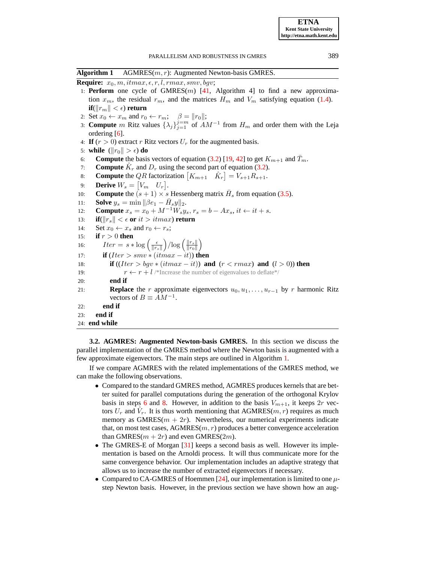<span id="page-8-0"></span>**Algorithm 1** AGMRES(m, r): Augmented Newton-basis GMRES.

**Require:**  $x_0, m, itmax, \epsilon, r, l, rmax, smv, bgv;$ 

- <span id="page-8-3"></span>1: **Perform** one cycle of  $GMRES(m)$  [\[41,](#page-25-0) Algorithm 4] to find a new approximation  $x_m$ , the residual  $r_m$ , and the matrices  $H_m$  and  $V_m$  satisfying equation [\(1.4\)](#page-1-1).  $\textbf{if}(\Vert r_m \Vert < \epsilon)$  **return**
- <span id="page-8-4"></span>2: Set  $x_0 \leftarrow x_m$  and  $r_0 \leftarrow r_m$ ;  $\beta = ||r_0||$ ;
- 3: **Compute** m Ritz values  $\{\lambda_j\}_{j=1}^{j=m}$  of  $AM^{-1}$  from  $H_m$  and order them with the Leja ordering [\[6\]](#page-24-1).
- <span id="page-8-9"></span>4: **If**  $(r > 0)$  extract r Ritz vectors  $U_r$  for the augmented basis.
- <span id="page-8-1"></span>5: **while**  $(||r_0|| > \epsilon)$  **do**
- 6: **Compute** the basis vectors of equation [\(3.2\)](#page-4-0) [\[19,](#page-24-4) [42\]](#page-25-4) to get  $K_{m+1}$  and  $\overline{T}_m$ .
- 7: **Compute**  $\hat{K}_r$  and  $D_r$  using the second part of equation [\(3.2\)](#page-4-0).
- <span id="page-8-2"></span>8: **Compute** the *QR* factorization  $[K_{m+1} \quad \hat{K}_r] = V_{s+1}R_{s+1}$ .
- <span id="page-8-11"></span><span id="page-8-10"></span><span id="page-8-5"></span>9: **Derive**  $W_s = \begin{bmatrix} V_m & U_r \end{bmatrix}$ .
- 10: **Compute** the  $(s + 1) \times s$  Hessenberg matrix  $\bar{H}_s$  from equation [\(3.5\)](#page-5-2).
- 11: **Solve**  $y_s = \min ||\beta e_1 \bar{H}_s y||_2$ .
- 12: **Compute**  $x_s = x_0 + M^{-1}W_s y_s, r_s = b Ax_s, it \leftarrow it + s.$
- 13: **if**( $||r_s|| < \epsilon$  or *it*  $>$  *itmax*) return
- <span id="page-8-7"></span>14: Set  $x_0 \leftarrow x_s$  and  $r_0 \leftarrow r_s$ ;
- <span id="page-8-12"></span>15: **if** r > 0 **then**
- 16:  $Iter = s * \log \left( \frac{\epsilon}{\|r_s\|}\right) / \log \left( \frac{\|r_s\|}{\|r_0\|}\right)$

17: **if**  $(Iter > smv * (itmax - it))$  **then** 

- 18: **if**  $(Iter > bay * (itmax it))$  **and**  $(r < rmax)$  **and**  $(l > 0)$ ) **then**
- <span id="page-8-6"></span>19:  $r \leftarrow r + l$  /\*Increase the number of eigenvalues to deflate\*/
- 20: **end if**
- 21: **Replace** the r approximate eigenvectors  $u_0, u_1, \ldots, u_{r-1}$  by r harmonic Ritz vectors of  $B \equiv AM^{-1}$ .
- <span id="page-8-8"></span>22: **end if**
- 23: **end if**

```
24: end while
```
**3.2. AGMRES: Augmented Newton-basis GMRES.** In this section we discuss the parallel implementation of the GMRES method where the Newton basis is augmented with a few approximate eigenvectors. The main steps are outlined in Algorithm [1.](#page-8-0)

If we compare AGMRES with the related implementations of the GMRES method, we can make the following observations.

- Compared to the standard GMRES method, AGMRES produces kernels that are better suited for parallel computations during the generation of the orthogonal Krylov basis in steps [6](#page-8-1) and [8.](#page-8-2) However, in addition to the basis  $V_{m+1}$ , it keeps  $2r$  vectors  $U_r$  and  $\hat{V}_r$ . It is thus worth mentioning that AGMRES( $m, r$ ) requires as much memory as  $GMRES(m + 2r)$ . Nevertheless, our numerical experiments indicate that, on most test cases,  $AGMRES(m, r)$  produces a better convergence acceleration than GMRES( $m + 2r$ ) and even GMRES( $2m$ ).
- The GMRES-E of Morgan [\[31\]](#page-25-2) keeps a second basis as well. However its implementation is based on the Arnoldi process. It will thus communicate more for the same convergence behavior. Our implementation includes an adaptive strategy that allows us to increase the number of extracted eigenvectors if necessary.
- Compared to CA-GMRES of Hoemmen [\[24\]](#page-25-1), our implementation is limited to one  $\mu$ step Newton basis. However, in the previous section we have shown how an aug-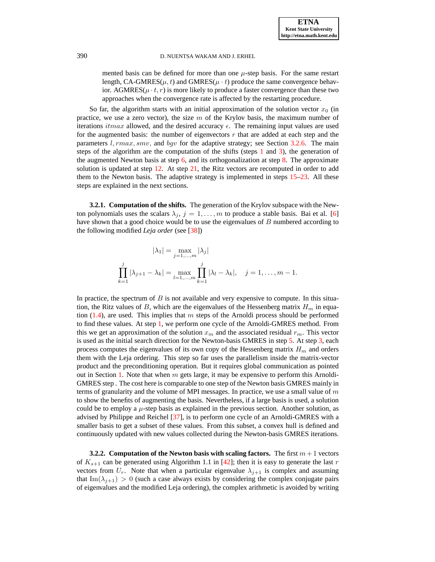mented basis can be defined for more than one  $\mu$ -step basis. For the same restart length, CA-GMRES( $\mu$ , t) and GMRES( $\mu$  · t) produce the same convergence behavior. AGMRES( $\mu \cdot t$ ,  $r$ ) is more likely to produce a faster convergence than these two approaches when the convergence rate is affected by the restarting procedure.

So far, the algorithm starts with an initial approximation of the solution vector  $x_0$  (in practice, we use a zero vector), the size  $m$  of the Krylov basis, the maximum number of iterations *itmax* allowed, and the desired accuracy  $\epsilon$ . The remaining input values are used for the augmented basis: the number of eigenvectors  $r$  that are added at each step and the parameters  $l, rmax, smv$ , and  $bqv$  for the adaptive strategy; see Section [3.2.6.](#page-11-1) The main steps of the algorithm are the computation of the shifts (steps  $1$  and  $3$ ), the generation of the augmented Newton basis at step  $6$ , and its orthogonalization at step [8.](#page-8-2) The approximate solution is updated at step  $12$ . At step  $21$ , the Ritz vectors are recomputed in order to add them to the Newton basis. The adaptive strategy is implemented in steps [15](#page-8-7)[–23.](#page-8-8) All these steps are explained in the next sections.

<span id="page-9-0"></span>**3.2.1. Computation of the shifts.** The generation of the Krylov subspace with the Newton polynomials uses the scalars  $\lambda_j$ ,  $j = 1, \ldots, m$  to produce a stable basis. Bai et al. [\[6\]](#page-24-1) have shown that a good choice would be to use the eigenvalues of  $B$  numbered according to the following modified *Leja order* (see [\[38\]](#page-25-16))

$$
|\lambda_1| = \max_{j=1,...,m} |\lambda_j|
$$
  

$$
\prod_{k=1}^j |\lambda_{j+1} - \lambda_k| = \max_{l=1,...,m} \prod_{k=1}^j |\lambda_l - \lambda_k|, \quad j = 1,...,m-1.
$$

In practice, the spectrum of  $B$  is not available and very expensive to compute. In this situation, the Ritz values of B, which are the eigenvalues of the Hessenberg matrix  $H_m$  in equation  $(1.4)$ , are used. This implies that m steps of the Arnoldi process should be performed to find these values. At step [1,](#page-8-3) we perform one cycle of the Arnoldi-GMRES method. From this we get an approximation of the solution  $x_m$  and the associated residual  $r_m$ . This vector is used as the initial search direction for the Newton-basis GMRES in step [5.](#page-8-9) At step [3,](#page-8-4) each process computes the eigenvalues of its own copy of the Hessenberg matrix  $H_m$  and orders them with the Leja ordering. This step so far uses the parallelism inside the matrix-vector product and the preconditioning operation. But it requires global communication as pointed out in Section [1.](#page-0-1) Note that when  $m$  gets large, it may be expensive to perform this Arnoldi-GMRES step . The cost here is comparable to one step of the Newton basis GMRES mainly in terms of granularity and the volume of MPI messages. In practice, we use a small value of  $m$ to show the benefits of augmenting the basis. Nevertheless, if a large basis is used, a solution could be to employ a  $\mu$ -step basis as explained in the previous section. Another solution, as advised by Philippe and Reichel [\[37\]](#page-25-3), is to perform one cycle of an Arnoldi-GMRES with a smaller basis to get a subset of these values. From this subset, a convex hull is defined and continuously updated with new values collected during the Newton-basis GMRES iterations.

<span id="page-9-1"></span>**3.2.2. Computation of the Newton basis with scaling factors.** The first  $m + 1$  vectors of  $K_{s+1}$  can be generated using Algorithm 1.1 in [\[42\]](#page-25-4); then it is easy to generate the last r vectors from  $U_r$ . Note that when a particular eigenvalue  $\lambda_{j+1}$  is complex and assuming that Im( $\lambda_{j+1}$ ) > 0 (such a case always exists by considering the complex conjugate pairs of eigenvalues and the modified Leja ordering), the complex arithmetic is avoided by writing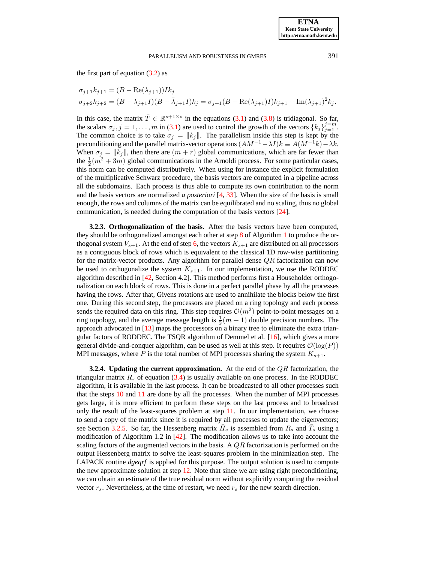the first part of equation  $(3.2)$  as

$$
\sigma_{j+1}k_{j+1} = (B - \text{Re}(\lambda_{j+1}))Ik_j
$$
  
\n
$$
\sigma_{j+2}k_{j+2} = (B - \lambda_{j+1}I)(B - \bar{\lambda}_{j+1}I)k_j = \sigma_{j+1}(B - \text{Re}(\lambda_{j+1})I)k_{j+1} + \text{Im}(\lambda_{j+1})^2k_j.
$$

In this case, the matrix  $\bar{T} \in \mathbb{R}^{s+1 \times s}$  in the equations [\(3.1\)](#page-4-2) and [\(3.8\)](#page-6-1) is tridiagonal. So far, the scalars  $\sigma_j$ ,  $j = 1, \ldots, m$  in [\(3.1\)](#page-4-2) are used to control the growth of the vectors  $\{k_j\}_{j=1}^{j=m}$ . The common choice is to take  $\sigma_j = ||k_j||$ . The parallelism inside this step is kept by the preconditioning and the parallel matrix-vector operations  $(AM^{-1} - \lambda I)k \equiv A(M^{-1}k) - \lambda k$ . When  $\sigma_j = ||k_j||$ , then there are  $(m + r)$  global communications, which are far fewer than the  $\frac{1}{2}(m^2 + 3m)$  global communications in the Arnoldi process. For some particular cases, this norm can be computed distributively. When using for instance the explicit formulation of the multiplicative Schwarz procedure, the basis vectors are computed in a pipeline across all the subdomains. Each process is thus able to compute its own contribution to the norm and the basis vectors are normalized *a posteriori* [\[4,](#page-24-13) [33\]](#page-25-17). When the size of the basis is small enough, the rows and columns of the matrix can be equilibrated and no scaling, thus no global communication, is needed during the computation of the basis vectors [\[24\]](#page-25-1).

**3.2.3. Orthogonalization of the basis.** After the basis vectors have been computed, they should be orthogonalized amongst each other at step [8](#page-8-2) of Algorithm [1](#page-8-0) to produce the orthogonal system  $V_{s+1}$ . At the end of step [6,](#page-8-1) the vectors  $K_{s+1}$  are distributed on all processors as a contiguous block of rows which is equivalent to the classical 1D row-wise partitioning for the matrix-vector products. Any algorithm for parallel dense  $QR$  factorization can now be used to orthogonalize the system  $K_{s+1}$ . In our implementation, we use the RODDEC algorithm described in [\[42,](#page-25-4) Section 4.2]. This method performs first a Householder orthogonalization on each block of rows. This is done in a perfect parallel phase by all the processes having the rows. After that, Givens rotations are used to annihilate the blocks below the first one. During this second step, the processors are placed on a ring topology and each process sends the required data on this ring. This step requires  $\mathcal{O}(m^2)$  point-to-point messages on a ring topology, and the average message length is  $\frac{1}{2}(m + 1)$  double precision numbers. The approach advocated in [\[13\]](#page-24-14) maps the processors on a binary tree to eliminate the extra triangular factors of RODDEC. The TSQR algorithm of Demmel et al. [\[16\]](#page-24-10), which gives a more general divide-and-conquer algorithm, can be used as well at this step. It requires  $\mathcal{O}(\log(P))$ MPI messages, where P is the total number of MPI processes sharing the system  $K_{s+1}$ .

**3.2.4. Updating the current approximation.** At the end of the QR factorization, the triangular matrix  $R_s$  of equation [\(3.4\)](#page-5-0) is usually available on one process. In the RODDEC algorithm, it is available in the last process. It can be broadcasted to all other processes such that the steps [10](#page-8-10) and [11](#page-8-11) are done by all the processes. When the number of MPI processes gets large, it is more efficient to perform these steps on the last process and to broadcast only the result of the least-squares problem at step [11.](#page-8-11) In our implementation, we choose to send a copy of the matrix since it is required by all processes to update the eigenvectors; see Section [3.2.5.](#page-11-0) So far, the Hessenberg matrix  $\bar{H}_s$  is assembled from  $R_s$  and  $\bar{T}_s$  using a modification of Algorithm 1.2 in [\[42\]](#page-25-4). The modification allows us to take into account the scaling factors of the augmented vectors in the basis. A  $QR$  factorization is performed on the output Hessenberg matrix to solve the least-squares problem in the minimization step. The LAPACK routine *dgeqrf* is applied for this purpose. The output solution is used to compute the new approximate solution at step [12.](#page-8-5) Note that since we are using right preconditioning, we can obtain an estimate of the true residual norm without explicitly computing the residual vector  $r_s$ . Nevertheless, at the time of restart, we need  $r_s$  for the new search direction.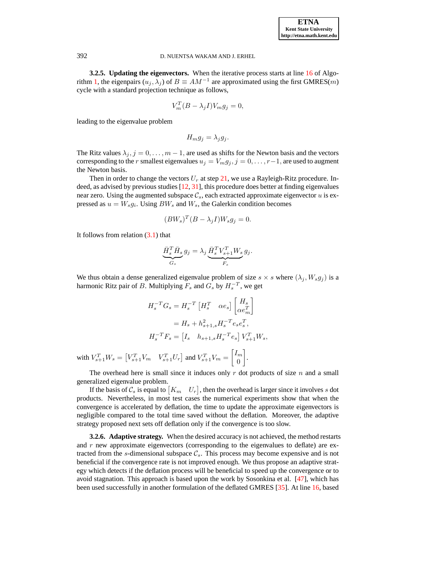**3.2.5. Updating the eigenvectors.** When the iterative process starts at line [16](#page-8-12) of Algo-rithm [1,](#page-8-0) the eigenpairs  $(u_j, \lambda_j)$  of  $B \equiv AM^{-1}$  are approximated using the first GMRES(*m*) cycle with a standard projection technique as follows,

$$
V_m^T (B - \lambda_j I) V_m g_j = 0,
$$

leading to the eigenvalue problem

$$
H_m g_j = \lambda_j g_j.
$$

The Ritz values  $\lambda_j$ ,  $j = 0, \ldots, m - 1$ , are used as shifts for the Newton basis and the vectors corresponding to the r smallest eigenvalues  $u_j = V_m g_j$ ,  $j = 0, \ldots, r-1$ , are used to augment the Newton basis.

Then in order to change the vectors  $U_r$  at step [21,](#page-8-6) we use a Rayleigh-Ritz procedure. Indeed, as advised by previous studies [\[12,](#page-24-3) [31\]](#page-25-2), this procedure does better at finding eigenvalues near zero. Using the augmented subspace  $\mathcal{C}_s$ , each extracted approximate eigenvector u is expressed as  $u = W_s g_i$ . Using  $BW_s$  and  $W_s$ , the Galerkin condition becomes

$$
(BW_s)^T (B - \lambda_j I) W_s g_j = 0.
$$

It follows from relation  $(3.1)$  that

$$
\underbrace{\bar{H}_s^T \bar{H}_s}_{G_s} g_j = \lambda_j \underbrace{\bar{H}_s^T V_{s+1}^T W_s}_{F_s} g_j.
$$

We thus obtain a dense generalized eigenvalue problem of size  $s \times s$  where  $(\lambda_j, W_s g_j)$  is a harmonic Ritz pair of B. Multiplying  $F_s$  and  $G_s$  by  $H_s^{-T}$ , we get

$$
H_s^{-T}G_s = H_s^{-T} \begin{bmatrix} H_s^T & \alpha e_s \end{bmatrix} \begin{bmatrix} H_s \\ \alpha e_m^T \end{bmatrix}
$$
  
=  $H_s + h_{s+1,s}^2 H_s^{-T} e_s e_s^T$ ,  

$$
H_s^{-T} F_s = \begin{bmatrix} I_s & h_{s+1,s} H_s^{-T} e_s \end{bmatrix} V_{s+1}^T W_s,
$$

with  $V_{s+1}^T W_s = \begin{bmatrix} V_{s+1}^T V_m & V_{s+1}^T U_r \end{bmatrix}$  and  $V_{s+1}^T V_m = \begin{bmatrix} I_m \\ 0 \end{bmatrix}$ 0 .

The overhead here is small since it induces only  $r$  dot products of size  $n$  and a small generalized eigenvalue problem.

If the basis of  $\mathcal{C}_s$  is equal to  $[K_m \quad U_r]$ , then the overhead is larger since it involves s dot products. Nevertheless, in most test cases the numerical experiments show that when the convergence is accelerated by deflation, the time to update the approximate eigenvectors is negligible compared to the total time saved without the deflation. Moreover, the adaptive strategy proposed next sets off deflation only if the convergence is too slow.

<span id="page-11-1"></span>**3.2.6. Adaptive strategy.** When the desired accuracy is not achieved, the method restarts and  $r$  new approximate eigenvectors (corresponding to the eigenvalues to deflate) are extracted from the s-dimensional subspace  $\mathcal{C}_s$ . This process may become expensive and is not beneficial if the convergence rate is not improved enough. We thus propose an adaptive strategy which detects if the deflation process will be beneficial to speed up the convergence or to avoid stagnation. This approach is based upon the work by Sosonkina et al. [\[47\]](#page-25-18), which has been used successfully in another formulation of the deflated GMRES [\[35\]](#page-25-19). At line [16,](#page-8-12) based

<span id="page-11-0"></span>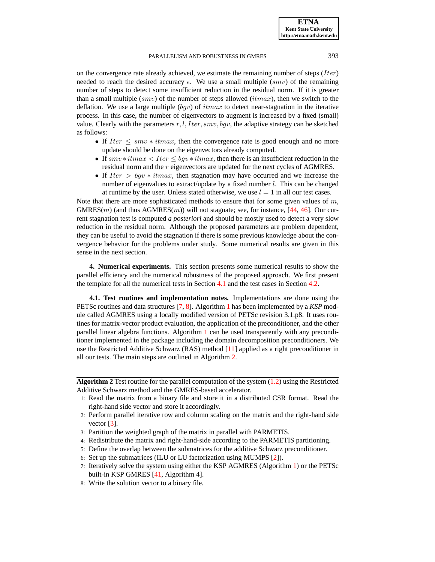on the convergence rate already achieved, we estimate the remaining number of steps  $(Iter)$ needed to reach the desired accuracy  $\epsilon$ . We use a small multiple (smv) of the remaining number of steps to detect some insufficient reduction in the residual norm. If it is greater than a small multiple (smv) of the number of steps allowed (*itmax*), then we switch to the deflation. We use a large multiple  $(bqv)$  of itmax to detect near-stagnation in the iterative process. In this case, the number of eigenvectors to augment is increased by a fixed (small) value. Clearly with the parameters  $r, l, I$  *ter, smv*, *bgv*, the adaptive strategy can be sketched as follows:

- If  $Iter \leq smv * itmax$ , then the convergence rate is good enough and no more update should be done on the eigenvectors already computed.
- If  $smv * itmax < Iter \leq bgv * imax$ , then there is an insufficient reduction in the residual norm and the r eigenvectors are updated for the next cycles of AGMRES.
- If  $Iter > byv * itmax$ , then stagnation may have occurred and we increase the number of eigenvalues to extract/update by a fixed number *l*. This can be changed at runtime by the user. Unless stated otherwise, we use  $l = 1$  in all our test cases.

Note that there are more sophisticated methods to ensure that for some given values of  $m$ ,  $GMRES(m)$  (and thus  $AGMRES(m)$ ) will not stagnate; see, for instance, [\[44,](#page-25-20) [46\]](#page-25-21). Our current stagnation test is computed *a posteriori* and should be mostly used to detect a very slow reduction in the residual norm. Although the proposed parameters are problem dependent, they can be useful to avoid the stagnation if there is some previous knowledge about the convergence behavior for the problems under study. Some numerical results are given in this sense in the next section.

<span id="page-12-0"></span>**4. Numerical experiments.** This section presents some numerical results to show the parallel efficiency and the numerical robustness of the proposed approach. We first present the template for all the numerical tests in Section [4.1](#page-12-1) and the test cases in Section [4.2.](#page-13-0)

<span id="page-12-1"></span>**4.1. Test routines and implementation notes.** Implementations are done using the PETSc routines and data structures [\[7,](#page-24-15) [8\]](#page-24-16). Algorithm [1](#page-8-0) has been implemented by a *KSP* module called AGMRES using a locally modified version of PETSc revision 3.1.p8. It uses routines for matrix-vector product evaluation, the application of the preconditioner, and the other parallel linear algebra functions. Algorithm [1](#page-8-0) can be used transparently with any preconditioner implemented in the package including the domain decomposition preconditioners. We use the Restricted Additive Schwarz (RAS) method [\[11\]](#page-24-17) applied as a right preconditioner in all our tests. The main steps are outlined in Algorithm [2.](#page-12-2)

**Algorithm 2** Test routine for the parallel computation of the system [\(1.2\)](#page-0-2) using the Restricted Additive Schwarz method and the GMRES-based accelerator.

- <span id="page-12-2"></span>1: Read the matrix from a binary file and store it in a distributed CSR format. Read the right-hand side vector and store it accordingly.
- 2: Perform parallel iterative row and column scaling on the matrix and the right-hand side vector  $[3]$ .
- 3: Partition the weighted graph of the matrix in parallel with PARMETIS.
- 4: Redistribute the matrix and right-hand-side according to the PARMETIS partitioning.
- 5: Define the overlap between the submatrices for the additive Schwarz preconditioner.
- <span id="page-12-3"></span>6: Set up the submatrices (ILU or LU factorization using MUMPS [\[2\]](#page-24-19)).
- 7: Iteratively solve the system using either the KSP AGMRES (Algorithm [1\)](#page-8-0) or the PETSc built-in KSP GMRES [\[41,](#page-25-0) Algorithm 4].
- 8: Write the solution vector to a binary file.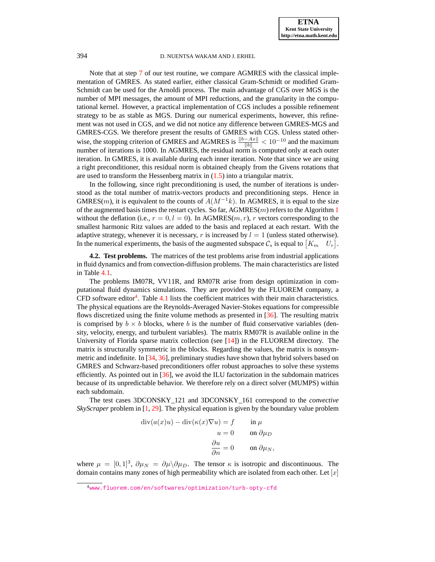Note that at step [7](#page-12-3) of our test routine, we compare AGMRES with the classical implementation of GMRES. As stated earlier, either classical Gram-Schmidt or modified Gram-Schmidt can be used for the Arnoldi process. The main advantage of CGS over MGS is the number of MPI messages, the amount of MPI reductions, and the granularity in the computational kernel. However, a practical implementation of CGS includes a possible refinement strategy to be as stable as MGS. During our numerical experiments, however, this refinement was not used in CGS, and we did not notice any difference between GMRES-MGS and GMRES-CGS. We therefore present the results of GMRES with CGS. Unless stated otherwise, the stopping criterion of GMRES and AGMRES is  $\frac{\|b-Ax\|}{\|b\|} < 10^{-10}$  and the maximum number of iterations is 1000. In AGMRES, the residual norm is computed only at each outer iteration. In GMRES, it is available during each inner iteration. Note that since we are using a right preconditioner, this residual norm is obtained cheaply from the Givens rotations that are used to transform the Hessenberg matrix in  $(1.5)$  into a triangular matrix.

In the following, since right preconditioning is used, the number of iterations is understood as the total number of matrix-vectors products and preconditioning steps. Hence in GMRES(m), it is equivalent to the counts of  $A(M^{-1}k)$ . In AGMRES, it is equal to the size of the augmented basis times the restart cycles. So far, AGMRES $(m)$  refers to the Algorithm [1](#page-8-0) without the deflation (i.e.,  $r = 0, l = 0$ ). In AGMRES(*m, r*), *r* vectors corresponding to the smallest harmonic Ritz values are added to the basis and replaced at each restart. With the adaptive strategy, whenever it is necessary, r is increased by  $l = 1$  (unless stated otherwise). In the numerical experiments, the basis of the augmented subspace  $\mathcal{C}_s$  is equal to  $[K_m \quad U_r]$ .

<span id="page-13-0"></span>**4.2. Test problems.** The matrices of the test problems arise from industrial applications in fluid dynamics and from convection-diffusion problems. The main characteristics are listed in Table [4.1.](#page-14-0)

The problems IM07R, VV11R, and RM07R arise from design optimization in computational fluid dynamics simulations. They are provided by the FLUOREM company, a CFD software editor<sup>4</sup>. Table [4.1](#page-14-0) lists the coefficient matrices with their main characteristics. The physical equations are the Reynolds-Averaged Navier-Stokes equations for compressible flows discretized using the finite volume methods as presented in [\[36\]](#page-25-22). The resulting matrix is comprised by  $b \times b$  blocks, where b is the number of fluid conservative variables (density, velocity, energy, and turbulent variables). The matrix RM07R is available online in the University of Florida sparse matrix collection (see  $[14]$ ) in the FLUOREM directory. The matrix is structurally symmetric in the blocks. Regarding the values, the matrix is nonsymmetric and indefinite. In [\[34,](#page-25-23) [36\]](#page-25-22), preliminary studies have shown that hybrid solvers based on GMRES and Schwarz-based preconditioners offer robust approaches to solve these systems efficiently. As pointed out in [\[36\]](#page-25-22), we avoid the ILU factorization in the subdomain matrices because of its unpredictable behavior. We therefore rely on a direct solver (MUMPS) within each subdomain.

The test cases 3DCONSKY\_121 and 3DCONSKY\_161 correspond to the *convective SkyScraper* problem in [\[1,](#page-24-21) [29\]](#page-25-24). The physical equation is given by the boundary value problem

$$
\operatorname{div}(a(x)u) - \operatorname{div}(\kappa(x)\nabla u) = f \qquad \text{in } \mu
$$

$$
u = 0 \qquad \text{on } \partial \mu_D
$$

$$
\frac{\partial u}{\partial n} = 0 \qquad \text{on } \partial \mu_N,
$$

where  $\mu = [0, 1]^3$ ,  $\partial \mu_N = \partial \mu \backslash \partial \mu_D$ . The tensor  $\kappa$  is isotropic and discontinuous. The domain contains many zones of high permeability which are isolated from each other. Let  $[x]$ 

<sup>4</sup><www.fluorem.com/en/softwares/optimization/turb-opty-cfd>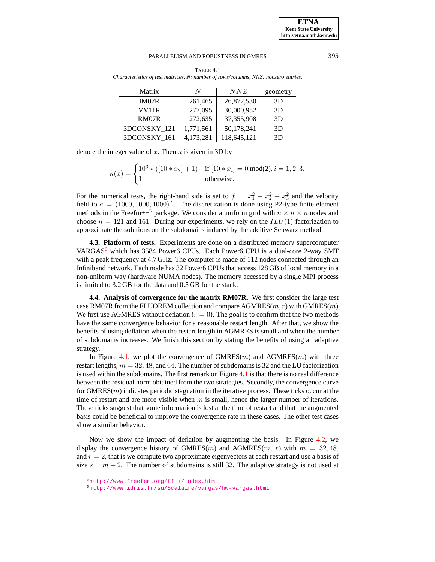<span id="page-14-0"></span>

| Matrix       | N         | NNZ         | geometry |
|--------------|-----------|-------------|----------|
| IM07R        | 261,465   | 26,872,530  | 3D       |
| VV11R        | 277,095   | 30,000,952  | 3D       |
| RM07R        | 272,635   | 37,355,908  | 3D       |
| 3DCONSKY 121 | 1,771,561 | 50,178,241  | 3D       |
| 3DCONSKY 161 | 4,173,281 | 118,645,121 | 3D       |

TABLE 4.1 *Characteristics of test matrices, N: number of rows/columns, NNZ: nonzero entries.*

denote the integer value of x. Then  $\kappa$  is given in 3D by

|  | $\kappa(x) = \begin{cases} 10^3 * ([10 * x_2] + 1) & \text{if } [10 * x_i] = 0 \text{ mod}(2), i = 1, 2, 3, \\ 1 & \text{otherwise.} \end{cases}$ |
|--|---------------------------------------------------------------------------------------------------------------------------------------------------|
|  |                                                                                                                                                   |

For the numerical tests, the right-hand side is set to  $f = x_1^2 + x_2^2 + x_3^2$  and the velocity field to  $a = (1000, 1000, 1000)^T$ . The discretization is done using P2-type finite element methods in the Freefm++<sup>5</sup> package. We consider a uniform grid with  $n \times n \times n$  nodes and choose  $n = 121$  and 161. During our experiments, we rely on the  $ILU(1)$  factorization to approximate the solutions on the subdomains induced by the additive Schwarz method.

**4.3. Platform of tests.** Experiments are done on a distributed memory supercomputer VARGAS<sup>6</sup> which has 3584 Power6 CPUs. Each Power6 CPU is a dual-core 2-way SMT with a peak frequency at 4.7 GHz. The computer is made of 112 nodes connected through an Infiniband network. Each node has 32 Power6 CPUs that access 128 GB of local memory in a non-uniform way (hardware NUMA nodes). The memory accessed by a single MPI process is limited to 3.2 GB for the data and 0.5 GB for the stack.

**4.4. Analysis of convergence for the matrix RM07R.** We first consider the large test case RM07R from the FLUOREM collection and compare  $AGMRES(m, r)$  with  $GMRES(m)$ . We first use AGMRES without deflation  $(r = 0)$ . The goal is to confirm that the two methods have the same convergence behavior for a reasonable restart length. After that, we show the benefits of using deflation when the restart length in AGMRES is small and when the number of subdomains increases. We finish this section by stating the benefits of using an adaptive strategy.

In Figure [4.1,](#page-15-0) we plot the convergence of  $GMRES(m)$  and  $AGMRES(m)$  with three restart lengths,  $m = 32, 48,$  and 64. The number of subdomains is 32 and the LU factorization is used within the subdomains. The first remark on Figure [4.1](#page-15-0) is that there is no real difference between the residual norm obtained from the two strategies. Secondly, the convergence curve for  $GMRES(m)$  indicates periodic stagnation in the iterative process. These ticks occur at the time of restart and are more visible when  $m$  is small, hence the larger number of iterations. These ticks suggest that some information is lost at the time of restart and that the augmented basis could be beneficial to improve the convergence rate in these cases. The other test cases show a similar behavior.

Now we show the impact of deflation by augmenting the basis. In Figure [4.2,](#page-15-1) we display the convergence history of GMRES $(m)$  and AGMRES $(m, r)$  with  $m = 32, 48$ , and  $r = 2$ , that is we compute two approximate eigenvectors at each restart and use a basis of size  $s = m + 2$ . The number of subdomains is still 32. The adaptive strategy is not used at

<sup>5</sup><http://www.freefem.org/ff++/index.htm>

<sup>6</sup><http://www.idris.fr/su/Scalaire/vargas/hw-vargas.html>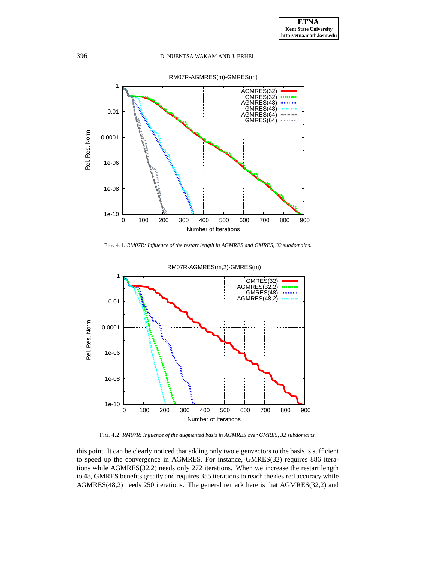

<span id="page-15-0"></span>FIG. 4.1. *RM07R: Influence of the restart length in AGMRES and GMRES, 32 subdomains.*



<span id="page-15-1"></span>FIG. 4.2. *RM07R: Influence of the augmented basis in AGMRES over GMRES, 32 subdomains.*

this point. It can be clearly noticed that adding only two eigenvectors to the basis is sufficient to speed up the convergence in AGMRES. For instance, GMRES(32) requires 886 iterations while AGMRES(32,2) needs only 272 iterations. When we increase the restart length to 48, GMRES benefits greatly and requires 355 iterations to reach the desired accuracy while AGMRES(48,2) needs 250 iterations. The general remark here is that AGMRES(32,2) and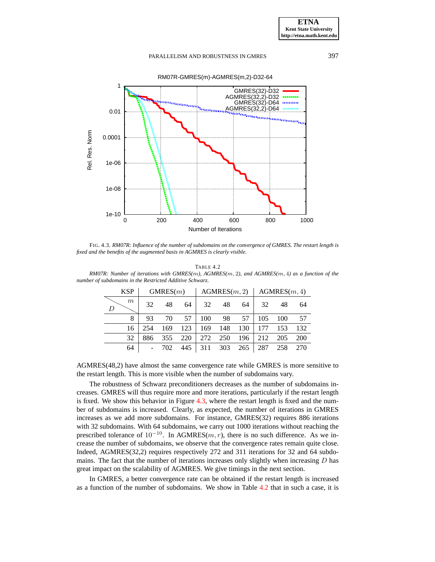

<span id="page-16-0"></span>FIG. 4.3. *RM07R: Influence of the number of subdomains on the convergence of GMRES. The restart length is fixed and the benefits of the augmented basis in AGMRES is clearly visible.*

TABLE 4.2

<span id="page-16-1"></span>

| RM07R: Number of iterations with GMRES(m), AGMRES(m, 2), and AGMRES(m, 4) as a function of the |          |                                         |  |  |  |  |  |  |
|------------------------------------------------------------------------------------------------|----------|-----------------------------------------|--|--|--|--|--|--|
| number of subdomains in the Restricted Additive Schwarz.                                       |          |                                         |  |  |  |  |  |  |
| KSP                                                                                            | GMRFS(m) | $\vert$ AGMRES(m 2) $\vert$ AGMRES(m 4) |  |  |  |  |  |  |

| <b>KSP</b><br>GMRES(m) |     | AGMRES(m, 2) |     |     | AGMRES(m, 4) |     |     |     |     |
|------------------------|-----|--------------|-----|-----|--------------|-----|-----|-----|-----|
| m                      | 32  | 48           | 64  | 32  | 48           | 64  | 32  | 48  | 64  |
| 8                      | 93  | 70           | 57  | 100 | 98           | 57  | 105 | 100 | 57  |
| 16                     | 254 | 169          | 123 | 169 | 148          | 130 | 177 | 153 | 132 |
| 32                     | 886 | 355          | 220 | 272 | 250          | 196 | 212 | 205 | 200 |
| 64                     | ۰   | 702          | 445 | 311 | 303          | 265 | 287 | 258 | 270 |

AGMRES(48,2) have almost the same convergence rate while GMRES is more sensitive to the restart length. This is more visible when the number of subdomains vary.

The robustness of Schwarz preconditioners decreases as the number of subdomains increases. GMRES will thus require more and more iterations, particularly if the restart length is fixed. We show this behavior in Figure [4.3,](#page-16-0) where the restart length is fixed and the number of subdomains is increased. Clearly, as expected, the number of iterations in GMRES increases as we add more subdomains. For instance, GMRES(32) requires 886 iterations with 32 subdomains. With 64 subdomains, we carry out 1000 iterations without reaching the prescribed tolerance of  $10^{-10}$ . In AGMRES(m, r), there is no such difference. As we increase the number of subdomains, we observe that the convergence rates remain quite close. Indeed, AGMRES(32,2) requires respectively 272 and 311 iterations for 32 and 64 subdomains. The fact that the number of iterations increases only slightly when increasing  $D$  has great impact on the scalability of AGMRES. We give timings in the next section.

In GMRES, a better convergence rate can be obtained if the restart length is increased as a function of the number of subdomains. We show in Table [4.2](#page-16-1) that in such a case, it is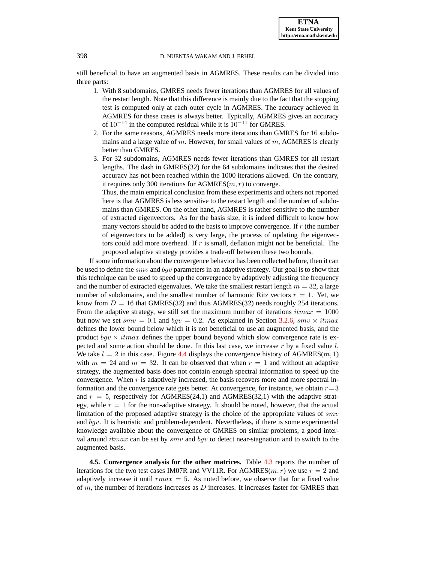still beneficial to have an augmented basis in AGMRES. These results can be divided into three parts:

- 1. With 8 subdomains, GMRES needs fewer iterations than AGMRES for all values of the restart length. Note that this difference is mainly due to the fact that the stopping test is computed only at each outer cycle in AGMRES. The accuracy achieved in AGMRES for these cases is always better. Typically, AGMRES gives an accuracy of  $10^{-14}$  in the computed residual while it is  $10^{-11}$  for GMRES.
- 2. For the same reasons, AGMRES needs more iterations than GMRES for 16 subdomains and a large value of m. However, for small values of  $m$ , AGMRES is clearly better than GMRES.
- 3. For 32 subdomains, AGMRES needs fewer iterations than GMRES for all restart lengths. The dash in GMRES(32) for the 64 subdomains indicates that the desired accuracy has not been reached within the 1000 iterations allowed. On the contrary, it requires only 300 iterations for  $AGMRES(m, r)$  to converge.

Thus, the main empirical conclusion from these experiments and others not reported here is that AGMRES is less sensitive to the restart length and the number of subdomains than GMRES. On the other hand, AGMRES is rather sensitive to the number of extracted eigenvectors. As for the basis size, it is indeed difficult to know how many vectors should be added to the basis to improve convergence. If  $r$  (the number of eigenvectors to be added) is very large, the process of updating the eigenvectors could add more overhead. If  $r$  is small, deflation might not be beneficial. The proposed adaptive strategy provides a trade-off between these two bounds.

If some information about the convergence behavior has been collected before, then it can be used to define the *smv* and *bgv* parameters in an adaptive strategy. Our goal is to show that this technique can be used to speed up the convergence by adaptively adjusting the frequency and the number of extracted eigenvalues. We take the smallest restart length  $m = 32$ , a large number of subdomains, and the smallest number of harmonic Ritz vectors  $r = 1$ . Yet, we know from  $D = 16$  that GMRES(32) and thus AGMRES(32) needs roughly 254 iterations. From the adaptive strategy, we still set the maximum number of iterations  $itmax = 1000$ but now we set  $smv = 0.1$  and  $bgv = 0.2$ . As explained in Section [3.2.6,](#page-11-1)  $smv \times itmax$ defines the lower bound below which it is not beneficial to use an augmented basis, and the product  $bqv \times itmax$  defines the upper bound beyond which slow convergence rate is expected and some action should be done. In this last case, we increase  $r$  by a fixed value  $l$ . We take  $l = 2$  in this case. Figure [4.4](#page-18-0) displays the convergence history of AGMRES(m, 1) with  $m = 24$  and  $m = 32$ . It can be observed that when  $r = 1$  and without an adaptive strategy, the augmented basis does not contain enough spectral information to speed up the convergence. When  $r$  is adaptively increased, the basis recovers more and more spectral information and the convergence rate gets better. At convergence, for instance, we obtain  $r=3$ and  $r = 5$ , respectively for AGMRES(24,1) and AGMRES(32,1) with the adaptive strategy, while  $r = 1$  for the non-adaptive strategy. It should be noted, however, that the actual limitation of the proposed adaptive strategy is the choice of the appropriate values of  $smv$ and bgv. It is heuristic and problem-dependent. Nevertheless, if there is some experimental knowledge available about the convergence of GMRES on similar problems, a good interval around *itmax* can be set by  $smv$  and  $bqv$  to detect near-stagnation and to switch to the augmented basis.

**4.5. Convergence analysis for the other matrices.** Table [4.3](#page-18-1) reports the number of iterations for the two test cases IM07R and VV11R. For AGMRES $(m, r)$  we use  $r = 2$  and adaptively increase it until  $rmax = 5$ . As noted before, we observe that for a fixed value of  $m$ , the number of iterations increases as  $D$  increases. It increases faster for GMRES than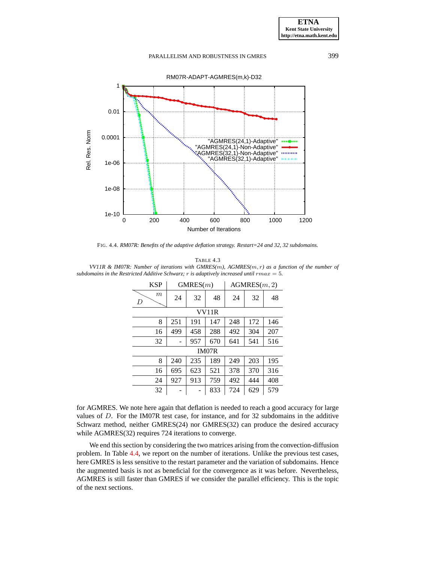



<span id="page-18-0"></span>FIG. 4.4. *RM07R: Benefits of the adaptive deflation strategy. Restart=24 and 32, 32 subdomains.*

<span id="page-18-1"></span>

| TABLE 4.3                                                                                      |
|------------------------------------------------------------------------------------------------|
| VV11R & IM07R: Number of iterations with GMRES(m), AGMRES(m, r) as a function of the number of |
| subdomains in the Restricted Additive Schwarz; r is adaptively increased until $rmax = 5$ .    |

| <b>KSP</b>  | GMRES(m) |     | AGMRES(m, 2) |     |     |     |  |  |
|-------------|----------|-----|--------------|-----|-----|-----|--|--|
| $_{m}$<br>D | 24       | 32  | 48           | 24  | 32  | 48  |  |  |
| VV11R       |          |     |              |     |     |     |  |  |
| 8           | 251      | 191 | 147          | 248 | 172 | 146 |  |  |
| 16          | 499      | 458 | 288          | 492 | 304 | 207 |  |  |
| 32          |          | 957 | 670          | 641 | 541 | 516 |  |  |
|             |          |     | IM07R        |     |     |     |  |  |
| 8           | 240      | 235 | 189          | 249 | 203 | 195 |  |  |
| 16          | 695      | 623 | 521          | 378 | 370 | 316 |  |  |
| 24          | 927      | 913 | 759          | 492 | 444 | 408 |  |  |
| 32          |          |     | 833          | 724 | 629 | 579 |  |  |

for AGMRES. We note here again that deflation is needed to reach a good accuracy for large values of D. For the IM07R test case, for instance, and for 32 subdomains in the additive Schwarz method, neither GMRES(24) nor GMRES(32) can produce the desired accuracy while AGMRES(32) requires 724 iterations to converge.

We end this section by considering the two matrices arising from the convection-diffusion problem. In Table [4.4,](#page-19-0) we report on the number of iterations. Unlike the previous test cases, here GMRES is less sensitive to the restart parameter and the variation of subdomains. Hence the augmented basis is not as beneficial for the convergence as it was before. Nevertheless, AGMRES is still faster than GMRES if we consider the parallel efficiency. This is the topic of the next sections.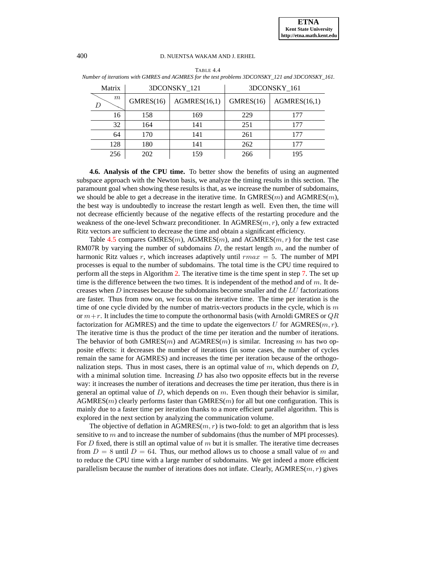<span id="page-19-0"></span>

| Matrix | 3DCONSKY_121 |              |           | 3DCONSKY_161 |  |  |  |
|--------|--------------|--------------|-----------|--------------|--|--|--|
| m<br>D | GMRES(16)    | AGMRES(16,1) | GMRES(16) | AGMRES(16,1) |  |  |  |
| 16     | 158          | 169          | 229       | 177          |  |  |  |
| 32     | 164          | 141          | 251       | 177          |  |  |  |
| 64     | 170          | 141          | 261       | 177          |  |  |  |
| 128    | 180          | 141          | 262       | 177          |  |  |  |
| 256    | 202          | 159          | 266       | 195          |  |  |  |

TABLE 4.4 *Number of iterations with GMRES and AGMRES for the test problems 3DCONSKY\_121 and 3DCONSKY\_161.*

**4.6. Analysis of the CPU time.** To better show the benefits of using an augmented subspace approach with the Newton basis, we analyze the timing results in this section. The paramount goal when showing these results is that, as we increase the number of subdomains, we should be able to get a decrease in the iterative time. In  $GMRES(m)$  and  $AGMRES(m)$ , the best way is undoubtedly to increase the restart length as well. Even then, the time will not decrease efficiently because of the negative effects of the restarting procedure and the weakness of the one-level Schwarz preconditioner. In AGMRES $(m, r)$ , only a few extracted Ritz vectors are sufficient to decrease the time and obtain a significant efficiency.

Table [4.5](#page-20-0) compares GMRES $(m)$ , AGMRES $(m)$ , and AGMRES $(m, r)$  for the test case RM07R by varying the number of subdomains  $D$ , the restart length  $m$ , and the number of harmonic Ritz values r, which increases adaptively until  $rmax = 5$ . The number of MPI processes is equal to the number of subdomains. The total time is the CPU time required to perform all the steps in Algorithm [2.](#page-12-2) The iterative time is the time spent in step [7.](#page-12-3) The set up time is the difference between the two times. It is independent of the method and of  $m$ . It decreases when  $D$  increases because the subdomains become smaller and the  $LU$  factorizations are faster. Thus from now on, we focus on the iterative time. The time per iteration is the time of one cycle divided by the number of matrix-vectors products in the cycle, which is  $m$ or  $m+r$ . It includes the time to compute the orthonormal basis (with Arnoldi GMRES or  $QR$ factorization for AGMRES) and the time to update the eigenvectors U for AGMRES $(m, r)$ . The iterative time is thus the product of the time per iteration and the number of iterations. The behavior of both GMRES(*m*) and AGMRES(*m*) is similar. Increasing m has two opposite effects: it decreases the number of iterations (in some cases, the number of cycles remain the same for AGMRES) and increases the time per iteration because of the orthogonalization steps. Thus in most cases, there is an optimal value of  $m$ , which depends on  $D$ , with a minimal solution time. Increasing  $D$  has also two opposite effects but in the reverse way: it increases the number of iterations and decreases the time per iteration, thus there is in general an optimal value of  $D$ , which depends on  $m$ . Even though their behavior is similar,  $AGMRES(m)$  clearly performs faster than  $GMRES(m)$  for all but one configuration. This is mainly due to a faster time per iteration thanks to a more efficient parallel algorithm. This is explored in the next section by analyzing the communication volume.

The objective of deflation in AGMRES $(m, r)$  is two-fold: to get an algorithm that is less sensitive to  $m$  and to increase the number of subdomains (thus the number of MPI processes). For D fixed, there is still an optimal value of  $m$  but it is smaller. The iterative time decreases from  $D = 8$  until  $D = 64$ . Thus, our method allows us to choose a small value of m and to reduce the CPU time with a large number of subdomains. We get indeed a more efficient parallelism because the number of iterations does not inflate. Clearly, AGMRES $(m, r)$  gives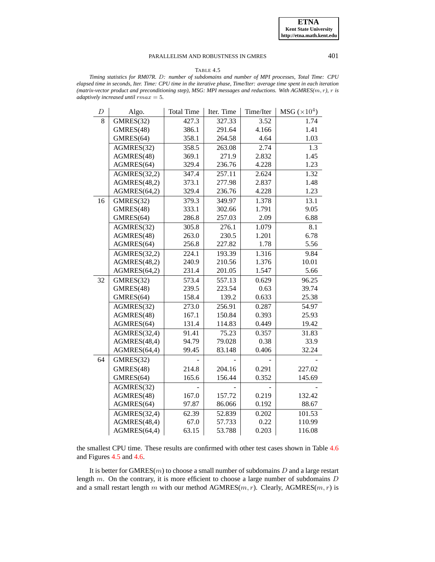#### TABLE 4.5

<span id="page-20-0"></span>*Timing statistics for RM07R.* D*: number of subdomains and number of MPI processes, Total Time: CPU elapsed time in seconds, Iter. Time: CPU time in the iterative phase, Time/Iter: average time spent in each iteration (matrix-vector product and preconditioning step), MSG: MPI messages and reductions. With AGMRES(*m, r*),* r *is adaptively increased until* rmax = 5*.*

| D  | Algo.        | <b>Total Time</b> | Iter. Time | Time/Iter | $\rm{MSG}\,(\times 10^4)$ |
|----|--------------|-------------------|------------|-----------|---------------------------|
| 8  | GMRES(32)    | 427.3             | 327.33     | 3.52      | 1.74                      |
|    | GMRES(48)    | 386.1             | 291.64     | 4.166     | 1.41                      |
|    | GMRES(64)    | 358.1             | 264.58     | 4.64      | 1.03                      |
|    | AGMRES(32)   | 358.5             | 263.08     | 2.74      | 1.3                       |
|    | AGMRES(48)   | 369.1             | 271.9      | 2.832     | 1.45                      |
|    | AGMRES(64)   | 329.4             | 236.76     | 4.228     | 1.23                      |
|    | AGMRES(32,2) | 347.4             | 257.11     | 2.624     | 1.32                      |
|    | AGMRES(48,2) | 373.1             | 277.98     | 2.837     | 1.48                      |
|    | AGMRES(64,2) | 329.4             | 236.76     | 4.228     | 1.23                      |
| 16 | GMRES(32)    | 379.3             | 349.97     | 1.378     | 13.1                      |
|    | GMRES(48)    | 333.1             | 302.66     | 1.791     | 9.05                      |
|    | GMRES(64)    | 286.8             | 257.03     | 2.09      | 6.88                      |
|    | AGMRES(32)   | 305.8             | 276.1      | 1.079     | 8.1                       |
|    | AGMRES(48)   | 263.0             | 230.5      | 1.201     | 6.78                      |
|    | AGMRES(64)   | 256.8             | 227.82     | 1.78      | 5.56                      |
|    | AGMRES(32,2) | 224.1             | 193.39     | 1.316     | 9.84                      |
|    | AGMRES(48,2) | 240.9             | 210.56     | 1.376     | 10.01                     |
|    | AGMRES(64,2) | 231.4             | 201.05     | 1.547     | 5.66                      |
| 32 | GMRES(32)    | 573.4             | 557.13     | 0.629     | 96.25                     |
|    | GMRES(48)    | 239.5             | 223.54     | 0.63      | 39.74                     |
|    | GMRES(64)    | 158.4             | 139.2      | 0.633     | 25.38                     |
|    | AGMRES(32)   | 273.0             | 256.91     | 0.287     | 54.97                     |
|    | AGMRES(48)   | 167.1             | 150.84     | 0.393     | 25.93                     |
|    | AGMRES(64)   | 131.4             | 114.83     | 0.449     | 19.42                     |
|    | AGMRES(32,4) | 91.41             | 75.23      | 0.357     | 31.83                     |
|    | AGMRES(48,4) | 94.79             | 79.028     | 0.38      | 33.9                      |
|    | AGMRES(64,4) | 99.45             | 83.148     | 0.406     | 32.24                     |
| 64 | GMRES(32)    |                   |            |           |                           |
|    | GMRES(48)    | 214.8             | 204.16     | 0.291     | 227.02                    |
|    | GMRES(64)    | 165.6             | 156.44     | 0.352     | 145.69                    |
|    | AGMRES(32)   |                   |            |           |                           |
|    | AGMRES(48)   | 167.0             | 157.72     | 0.219     | 132.42                    |
|    | AGMRES(64)   | 97.87             | 86.066     | 0.192     | 88.67                     |
|    | AGMRES(32,4) | 62.39             | 52.839     | 0.202     | 101.53                    |
|    | AGMRES(48,4) | 67.0              | 57.733     | 0.22      | 110.99                    |
|    | AGMRES(64,4) | 63.15             | 53.788     | 0.203     | 116.08                    |

the smallest CPU time. These results are confirmed with other test cases shown in Table [4.6](#page-21-0) and Figures [4.5](#page-21-1) and [4.6.](#page-22-0)

It is better for GMRES( $m$ ) to choose a small number of subdomains  $D$  and a large restart length  $m$ . On the contrary, it is more efficient to choose a large number of subdomains  $D$ and a small restart length m with our method  $AGMRES(m, r)$ . Clearly,  $AGMRES(m, r)$  is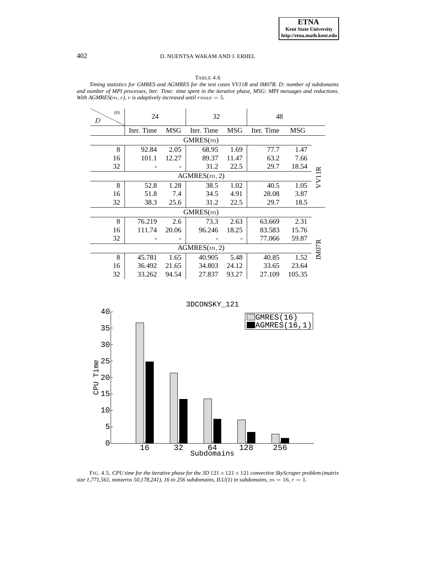# TABLE 4.6

<span id="page-21-0"></span>*Timing statistics for GMRES and AGMRES for the test cases VV11R and IM07R. D: number of subdomains and number of MPI processes, Iter. Time: time spent in the iterative phase, MSG: MPI messages and reductions. With AGMRES(m, r), r is adaptively increased until*  $rmax = 5$ *.* 

| $\boldsymbol{m}$<br>D        | 24         |            | 32           |       | 48         |            |    |
|------------------------------|------------|------------|--------------|-------|------------|------------|----|
|                              | Iter. Time | <b>MSG</b> | Iter. Time   | MSG   | Iter. Time | <b>MSG</b> |    |
| GMRES(m)                     |            |            |              |       |            |            |    |
| 8                            | 92.84      | 2.05       | 68.95        | 1.69  | 77.7       | 1.47       |    |
| 16                           | 101.1      | 12.27      | 89.37        | 11.47 | 63.2       | 7.66       |    |
| 32                           |            |            | 31.2         | 22.5  | 29.7       | 18.54      |    |
|                              |            |            | AGMRES(m, 2) |       |            |            |    |
| 8                            | 52.8       | 1.28       | 38.5         | 1.02  | 40.5       | 1.05       | V1 |
| 16                           | 51.8       | 7.4        | 34.5         | 4.91  | 28.08      | 3.87       |    |
| 32                           | 38.3       | 25.6       | 31.2         | 22.5  | 29.7       | 18.5       |    |
|                              |            |            | GMRES(m)     |       |            |            |    |
| 8                            | 76.219     | 2.6        | 73.3         | 2.63  | 63.669     | 2.31       |    |
| 16                           | 111.74     | 20.06      | 96.246       | 18.25 | 83.583     | 15.76      |    |
| 32                           |            |            |              |       | 77.066     | 59.87      |    |
| <b>IMO7R</b><br>AGMRES(m, 2) |            |            |              |       |            |            |    |
| 8                            | 45.781     | 1.65       | 40.905       | 5.48  | 40.85      | 1.52       |    |
| 16                           | 36.492     | 21.65      | 34.803       | 24.12 | 33.65      | 23.64      |    |
| 32                           | 33.262     | 94.54      | 27.837       | 93.27 | 27.109     | 105.35     |    |



<span id="page-21-1"></span>FIG. 4.5. *CPU time for the iterative phase for the 3D*  $121 \times 121 \times 121$  *convective SkyScraper problem (matrix size 1,771,561, nonzeros 50,178,241), 16 to 256 subdomains, ILU(1) in subdomains,*  $m = 16$ *,*  $r = 1$ *.*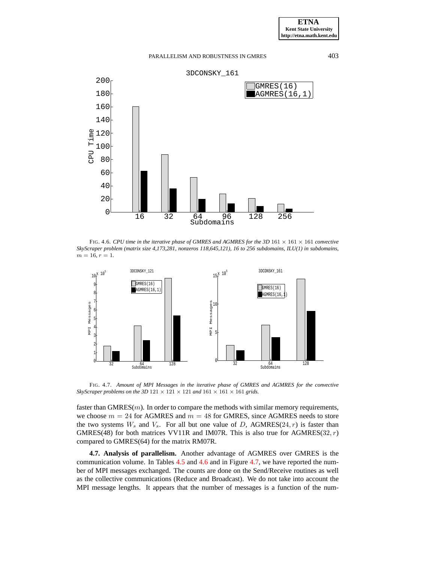

<span id="page-22-0"></span>FIG. 4.6. *CPU time in the iterative phase of GMRES and AGMRES for the 3D*  $161 \times 161 \times 161$  *convective SkyScraper problem (matrix size 4,173,281, nonzeros 118,645,121), 16 to 256 subdomains, ILU(1) in subdomains,*  $m = 16, r = 1.$ 



<span id="page-22-1"></span>FIG. 4.7. *Amount of MPI Messages in the iterative phase of GMRES and AGMRES for the convective SkyScraper problems on the 3D*  $121 \times 121 \times 121$  *and*  $161 \times 161 \times 161$  *grids.* 

faster than  $GMRES(m)$ . In order to compare the methods with similar memory requirements, we choose  $m = 24$  for AGMRES and  $m = 48$  for GMRES, since AGMRES needs to store the two systems  $W_s$  and  $V_s$ . For all but one value of D, AGMRES(24, r) is faster than GMRES(48) for both matrices VV11R and IM07R. This is also true for AGMRES(32,  $r$ ) compared to GMRES(64) for the matrix RM07R.

**4.7. Analysis of parallelism.** Another advantage of AGMRES over GMRES is the communication volume. In Tables  $4.5$  and  $4.6$  and in Figure [4.7,](#page-22-1) we have reported the number of MPI messages exchanged. The counts are done on the Send/Receive routines as well as the collective communications (Reduce and Broadcast). We do not take into account the MPI message lengths. It appears that the number of messages is a function of the num-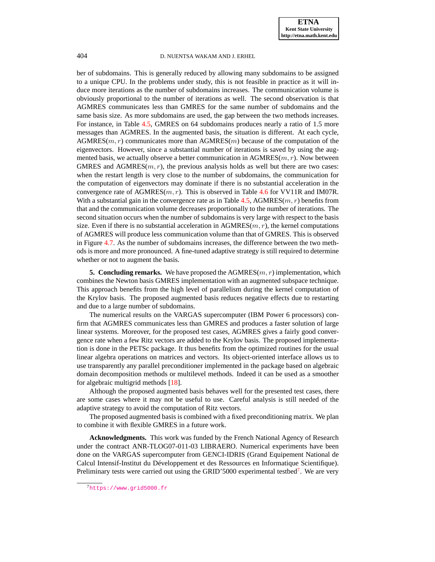ber of subdomains. This is generally reduced by allowing many subdomains to be assigned to a unique CPU. In the problems under study, this is not feasible in practice as it will induce more iterations as the number of subdomains increases. The communication volume is obviously proportional to the number of iterations as well. The second observation is that AGMRES communicates less than GMRES for the same number of subdomains and the same basis size. As more subdomains are used, the gap between the two methods increases. For instance, in Table [4.5,](#page-20-0) GMRES on 64 subdomains produces nearly a ratio of 1.5 more messages than AGMRES. In the augmented basis, the situation is different. At each cycle,  $AGMRES(m, r)$  communicates more than  $AGMRES(m)$  because of the computation of the eigenvectors. However, since a substantial number of iterations is saved by using the augmented basis, we actually observe a better communication in  $AGMRES(m, r)$ . Now between GMRES and AGMRES $(m, r)$ , the previous analysis holds as well but there are two cases: when the restart length is very close to the number of subdomains, the communication for the computation of eigenvectors may dominate if there is no substantial acceleration in the convergence rate of  $AGMRES(m, r)$ . This is observed in Table [4.6](#page-21-0) for VV11R and IM07R. With a substantial gain in the convergence rate as in Table [4.5,](#page-20-0) AGMRES $(m, r)$  benefits from that and the communication volume decreases proportionally to the number of iterations. The second situation occurs when the number of subdomains is very large with respect to the basis size. Even if there is no substantial acceleration in  $AGMRES(m, r)$ , the kernel computations of AGMRES will produce less communication volume than that of GMRES. This is observed in Figure [4.7.](#page-22-1) As the number of subdomains increases, the difference between the two methods is more and more pronounced. A fine-tuned adaptive strategy is still required to determine whether or not to augment the basis.

**5. Concluding remarks.** We have proposed the  $AGMRES(m, r)$  implementation, which combines the Newton basis GMRES implementation with an augmented subspace technique. This approach benefits from the high level of parallelism during the kernel computation of the Krylov basis. The proposed augmented basis reduces negative effects due to restarting and due to a large number of subdomains.

The numerical results on the VARGAS supercomputer (IBM Power 6 processors) confirm that AGMRES communicates less than GMRES and produces a faster solution of large linear systems. Moreover, for the proposed test cases, AGMRES gives a fairly good convergence rate when a few Ritz vectors are added to the Krylov basis. The proposed implementation is done in the PETSc package. It thus benefits from the optimized routines for the usual linear algebra operations on matrices and vectors. Its object-oriented interface allows us to use transparently any parallel preconditioner implemented in the package based on algebraic domain decomposition methods or multilevel methods. Indeed it can be used as a smoother for algebraic multigrid methods [\[18\]](#page-24-22).

Although the proposed augmented basis behaves well for the presented test cases, there are some cases where it may not be useful to use. Careful analysis is still needed of the adaptive strategy to avoid the computation of Ritz vectors.

The proposed augmented basis is combined with a fixed preconditioning matrix. We plan to combine it with flexible GMRES in a future work.

**Acknowledgments.** This work was funded by the French National Agency of Research under the contract ANR-TLOG07-011-03 LIBRAERO. Numerical experiments have been done on the VARGAS supercomputer from GENCI-IDRIS (Grand Equipement National de Calcul Intensif-Institut du Développement et des Ressources en Informatique Scientifique). Preliminary tests were carried out using the GRID'5000 experimental testbed<sup>7</sup>. We are very

<sup>7</sup><https://www.grid5000.fr>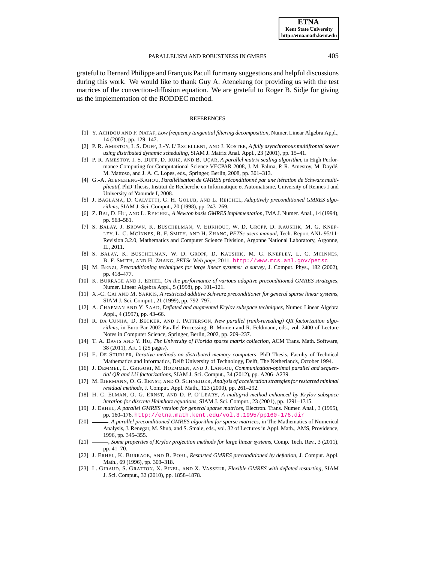grateful to Bernard Philippe and François Pacull for many suggestions and helpful discussions during this work. We would like to thank Guy A. Atenekeng for providing us with the test matrices of the convection-diffusion equation. We are grateful to Roger B. Sidje for giving us the implementation of the RODDEC method.

#### REFERENCES

- <span id="page-24-21"></span>[1] Y. ACHDOU AND F. NATAF, *Low frequency tangential filtering decomposition*, Numer. Linear Algebra Appl., 14 (2007), pp. 129–147.
- <span id="page-24-19"></span>[2] P. R. AMESTOY, I. S. DUFF, J.-Y. L'EXCELLENT, AND J. KOSTER, *A fully asynchronous multifrontal solver using distributed dynamic scheduling*, SIAM J. Matrix Anal. Appl., 23 (2001), pp. 15–41.
- <span id="page-24-18"></span>[3] P. R. AMESTOY, I. S. DUFF, D. RUIZ, AND B. UÇAR, *A parallel matrix scaling algorithm*, in High Performance Computing for Computational Science VECPAR 2008, J. M. Palma, P. R. Amestoy, M. Daydé, M. Mattoso, and J. A. C. Lopes, eds., Springer, Berlin, 2008, pp. 301–313.
- <span id="page-24-13"></span>[4] G.-A. ATENEKENG-KAHOU, *Parallélisation de GMRES préconditionné par une itération de Schwarz multiplicatif*, PhD Thesis, Institut de Recherche en Informatique et Automatisme, University of Rennes I and University of Yaounde I, 2008.
- <span id="page-24-8"></span>[5] J. BAGLAMA, D. CALVETTI, G. H. GOLUB, AND L. REICHEL, *Adaptively preconditioned GMRES algorithms*, SIAM J. Sci. Comput., 20 (1998), pp. 243–269.
- <span id="page-24-1"></span>[6] Z. BAI, D. HU, AND L. REICHEL, *A Newton basis GMRES implementation*, IMA J. Numer. Anal., 14 (1994), pp. 563–581.
- <span id="page-24-15"></span>[7] S. BALAY, J. BROWN, K. BUSCHELMAN, V. EIJKHOUT, W. D. GROPP, D. KAUSHIK, M. G. KNEP-LEY, L. C. MCINNES, B. F. SMITH, AND H. ZHANG, *PETSc users manual*, Tech. Report ANL-95/11- Revision 3.2.0, Mathematics and Computer Science Division, Argonne National Laboratory, Argonne, IL, 2011.
- <span id="page-24-16"></span>[8] S. BALAY, K. BUSCHELMAN, W. D. GROPP, D. KAUSHIK, M. G. KNEPLEY, L. C. MCINNES, B. F. SMITH, AND H. ZHANG, *PETSc Web page*, 2011. <http://www.mcs.anl.gov/petsc>
- <span id="page-24-0"></span>[9] M. BENZI, *Preconditioning techniques for large linear systems: a survey*, J. Comput. Phys., 182 (2002), pp. 418–477.
- <span id="page-24-2"></span>[10] K. BURRAGE AND J. ERHEL, *On the performance of various adaptive preconditioned GMRES strategies*, Numer. Linear Algebra Appl., 5 (1998), pp. 101–121.
- <span id="page-24-17"></span>[11] X.-C. CAI AND M. SARKIS, *A restricted additive Schwarz preconditioner for general sparse linear systems*, SIAM J. Sci. Comput., 21 (1999), pp. 792–797.
- <span id="page-24-3"></span>[12] A. CHAPMAN AND Y. SAAD, *Deflated and augmented Krylov subspace techniques*, Numer. Linear Algebra Appl., 4 (1997), pp. 43–66.
- <span id="page-24-14"></span>[13] R. DA CUNHA, D. BECKER, AND J. PATTERSON, *New parallel (rank-revealing) QR factorization algorithms*, in Euro-Par 2002 Parallel Processing, B. Monien and R. Feldmann, eds., vol. 2400 of Lecture Notes in Computer Science, Springer, Berlin, 2002, pp. 209–237.
- <span id="page-24-20"></span>[14] T. A. DAVIS AND Y. HU, *The University of Florida sparse matrix collection*, ACM Trans. Math. Software, 38 (2011), Art. 1 (25 pages).
- <span id="page-24-9"></span>[15] E. DE STURLER, *Iterative methods on distributed memory computers*, PhD Thesis, Faculty of Technical Mathematics and Informatics, Delft University of Technology, Delft, The Netherlands, October 1994.
- <span id="page-24-10"></span>[16] J. DEMMEL, L. GRIGORI, M. HOEMMEN, AND J. LANGOU, *Communication-optimal parallel and sequential QR and LU factorizations*, SIAM J. Sci. Comput., 34 (2012), pp. A206–A239.
- <span id="page-24-11"></span>[17] M. EIERMANN, O. G. ERNST, AND O. SCHNEIDER, *Analysis of acceleration strategies for restarted minimal residual methods*, J. Comput. Appl. Math., 123 (2000), pp. 261–292.
- <span id="page-24-22"></span>[18] H. C. ELMAN, O. G. ERNST, AND D. P. O'LEARY, *A multigrid method enhanced by Krylov subspace iteration for discrete Helmhotz equations*, SIAM J. Sci. Comput., 23 (2001), pp. 1291–1315.
- <span id="page-24-4"></span>[19] J. ERHEL, *A parallel GMRES version for general sparse matrices*, Electron. Trans. Numer. Anal., 3 (1995), pp. 160–176. <http://etna.math.kent.edu/vol.3.1995/pp160-176.dir>
- <span id="page-24-5"></span>[20]  $\_\_\_\_\$ A parallel preconditioned GMRES algorithm for sparse matrices, in The Mathematics of Numerical Analysis, J. Renegar, M. Shub, and S. Smale, eds., vol. 32 of Lectures in Appl. Math., AMS, Providence, 1996, pp. 345–355.
- <span id="page-24-12"></span>[21] , *Some properties of Krylov projection methods for large linear systems*, Comp. Tech. Rev., 3 (2011), pp. 41–70.
- <span id="page-24-6"></span>[22] J. ERHEL, K. BURRAGE, AND B. POHL, *Restarted GMRES preconditioned by deflation*, J. Comput. Appl. Math., 69 (1996), pp. 303–318.
- <span id="page-24-7"></span>[23] L. GIRAUD, S. GRATTON, X. PINEL, AND X. VASSEUR, *Flexible GMRES with deflated restarting*, SIAM J. Sci. Comput., 32 (2010), pp. 1858–1878.